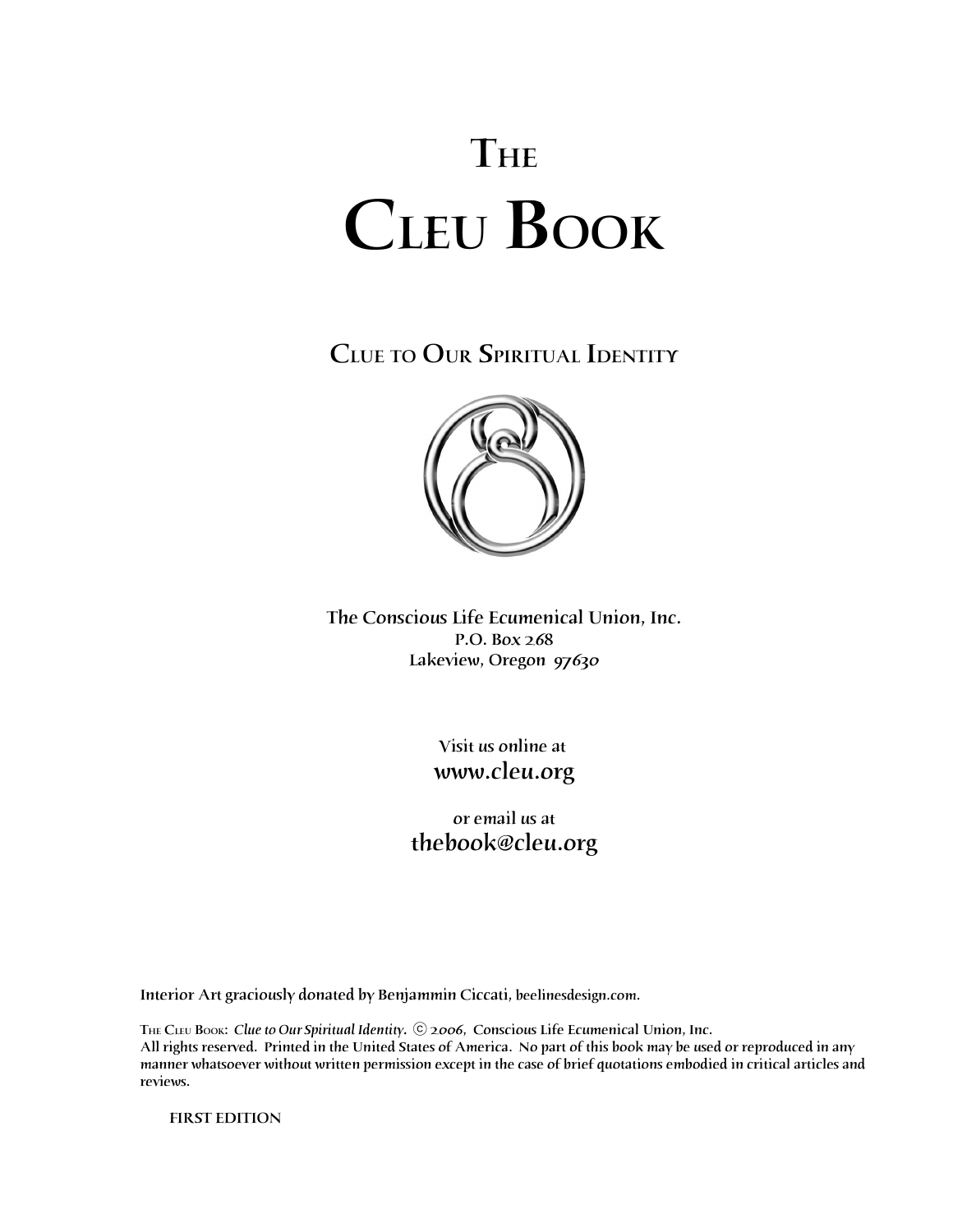# THE CLEU BOOK

CLUE TO OUR SPIRITUAL IDENTITY



The Conscious Life Ecumenical Union, Inc. P.O. Box 268 Lakeview, Oregon 97630

> Visit us online at www.cleu.org

or email us at thebook@cleu.org

Interior Art graciously donated by Benjammin Ciccati, beelinesdesign.com.

THE CLEU BOOK: *Clue to Our Spiritual Identity.* ⓒ 2006, Conscious Life Ecumenical Union, Inc. All rights reserved. Printed in the United States of America. No part of this book may be used or reproduced in any manner whatsoever without written permission except in the case of brief quotations embodied in critical articles and reviews.

FIRST EDITION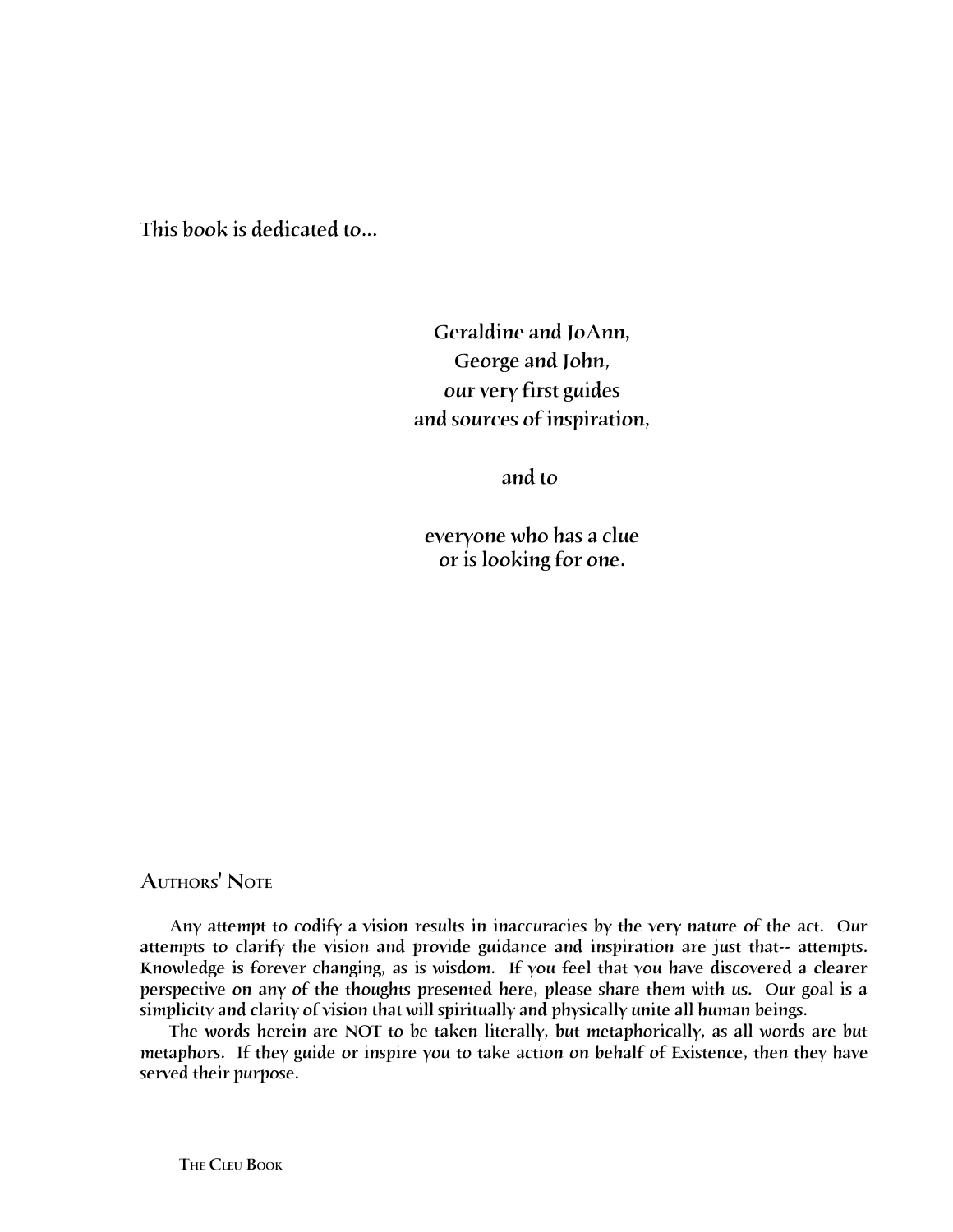This book is dedicated to...

Geraldine and JoAnn, George and John, our very first guides and sources of inspiration,

and to

everyone who has a clue or is looking for one.

AUTHORS' NOTE

Any attempt to codify a vision results in inaccuracies by the very nature of the act. Our attempts to clarify the vision and provide guidance and inspiration are just that-- attempts. Knowledge is forever changing, as is wisdom. If you feel that you have discovered a clearer perspective on any of the thoughts presented here, please share them with us. Our goal is a simplicity and clarity of vision that will spiritually and physically unite all human beings.

The words herein are NOT to be taken literally, but metaphorically, as all words are but metaphors. If they guide or inspire you to take action on behalf of Existence, then they have served their purpose.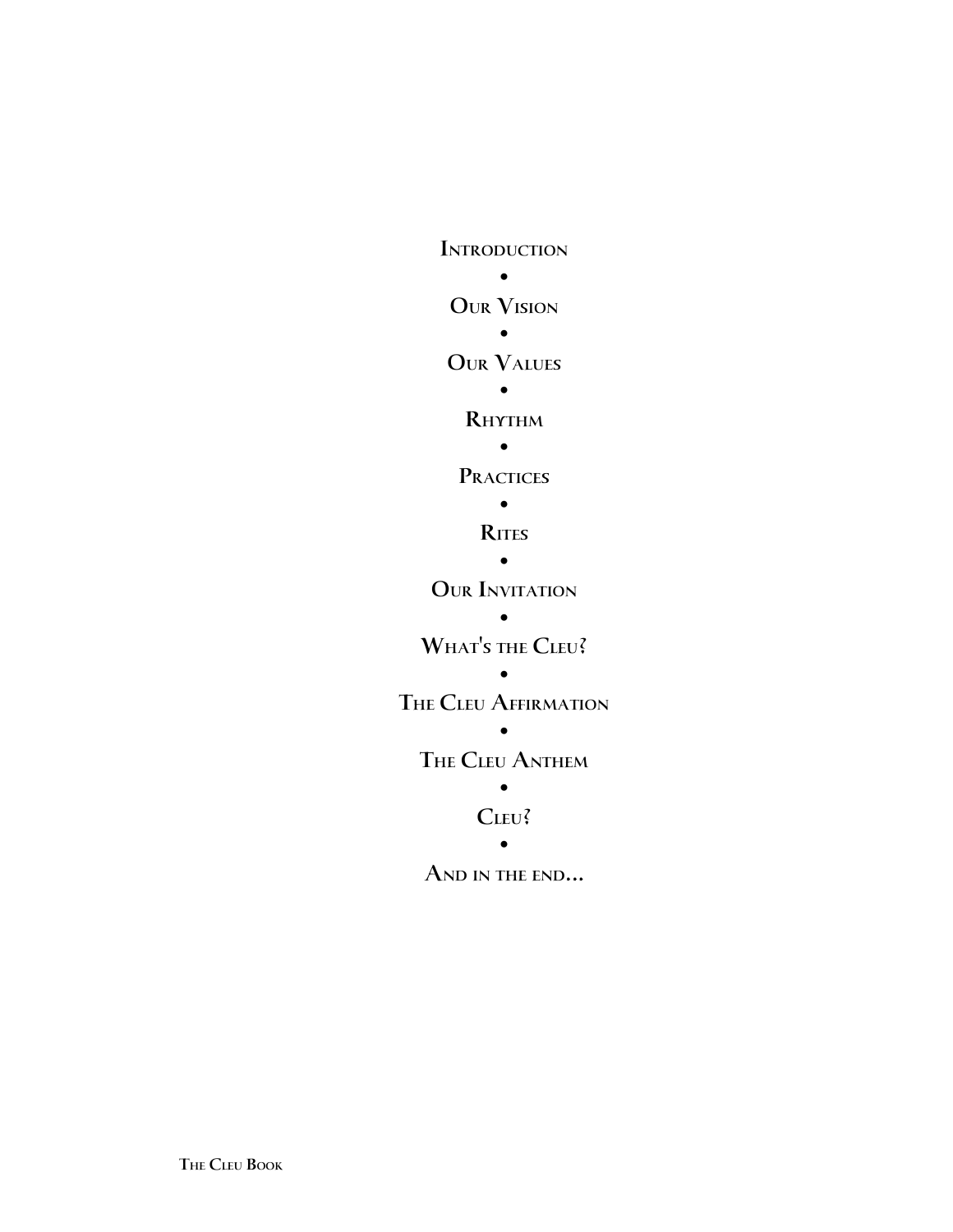**INTRODUCTION**  $\bullet$ **OUR VISION** • OUR VALUES  $\bullet$ RHYTHM • **PRACTICES**  $\bullet$ **RITES** • OUR INVITATION • WHAT'S THE CLEU? • THE CLEU AFFIRMATION • THE CLEU ANTHEM  $\bullet$ CLEU? • AND IN THE END...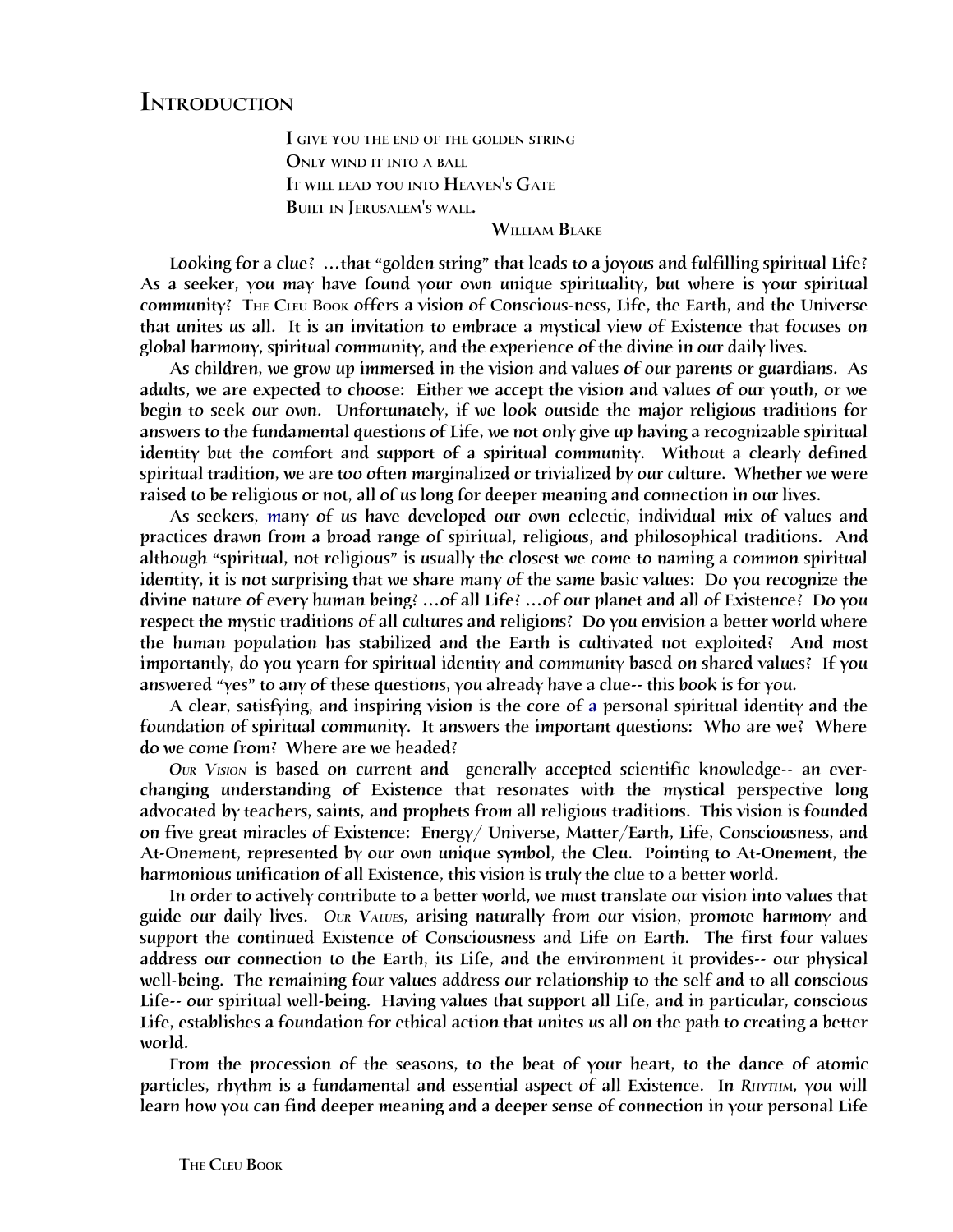#### **INTRODUCTION**

I GIVE YOU THE END OF THE GOLDEN STRING ONLY WIND IT INTO <sup>A</sup> BALL I<sup>T</sup> WILL LEAD YOU INTO HEAVEN'<sup>S</sup> GATE BUILT IN JERUSALEM'<sup>S</sup> WALL.

WILLIAM BLAKE

Looking for a clue? …that "golden string" that leads to a joyous and fulfilling spiritual Life? As a seeker, you may have found your own unique spirituality, but where is your spiritual community? THE CLEU BOOK offers a vision of Conscious-ness, Life, the Earth, and the Universe that unites us all. It is an invitation to embrace a mystical view of Existence that focuses on global harmony, spiritual community, and the experience of the divine in our daily lives.

As children, we grow up immersed in the vision and values of our parents or guardians. As adults, we are expected to choose: Either we accept the vision and values of our youth, or we begin to seek our own. Unfortunately, if we look outside the major religious traditions for answers to the fundamental questions of Life, we not only give up having a recognizable spiritual identity but the comfort and support of a spiritual community. Without a clearly defined spiritual tradition, we are too often marginalized or trivialized by our culture. Whether we were raised to be religious or not, all of us long for deeper meaning and connection in our lives.

As seekers, many of us have developed our own eclectic, individual mix of values and practices drawn from a broad range of spiritual, religious, and philosophical traditions. And although "spiritual, not religious" is usually the closest we come to naming a common spiritual identity, it is not surprising that we share many of the same basic values: Do you recognize the divine nature of every human being? …of all Life? …of our planet and all of Existence? Do you respect the mystic traditions of all cultures and religions? Do you envision a better world where the human population has stabilized and the Earth is cultivated not exploited? And most importantly, do you yearn for spiritual identity and community based on shared values? If you answered "yes" to any of these questions, you already have a clue-- this book is for you.

A clear, satisfying, and inspiring vision is the core of a personal spiritual identity and the foundation of spiritual community. It answers the important questions: Who are we? Where do we come from? Where are we headed?

*OUR VISION* is based on current and generally accepted scientific knowledge-- an everchanging understanding of Existence that resonates with the mystical perspective long advocated by teachers, saints, and prophets from all religious traditions. This vision is founded on five great miracles of Existence: Energy/ Universe, Matter/Earth, Life, Consciousness, and At-Onement, represented by our own unique symbol, the Cleu. Pointing to At-Onement, the harmonious unification of all Existence, this vision is truly the clue to a better world.

In order to actively contribute to a better world, we must translate our vision into values that guide our daily lives. *OUR VALUES*, arising naturally from our vision, promote harmony and support the continued Existence of Consciousness and Life on Earth. The first four values address our connection to the Earth, its Life, and the environment it provides-- our physical well-being. The remaining four values address our relationship to the self and to all conscious Life-- our spiritual well-being. Having values that support all Life, and in particular, conscious Life, establishes a foundation for ethical action that unites us all on the path to creating a better world.

From the procession of the seasons, to the beat of your heart, to the dance of atomic particles, rhythm is a fundamental and essential aspect of all Existence. In *RHYTHM,* you will learn how you can find deeper meaning and a deeper sense of connection in your personal Life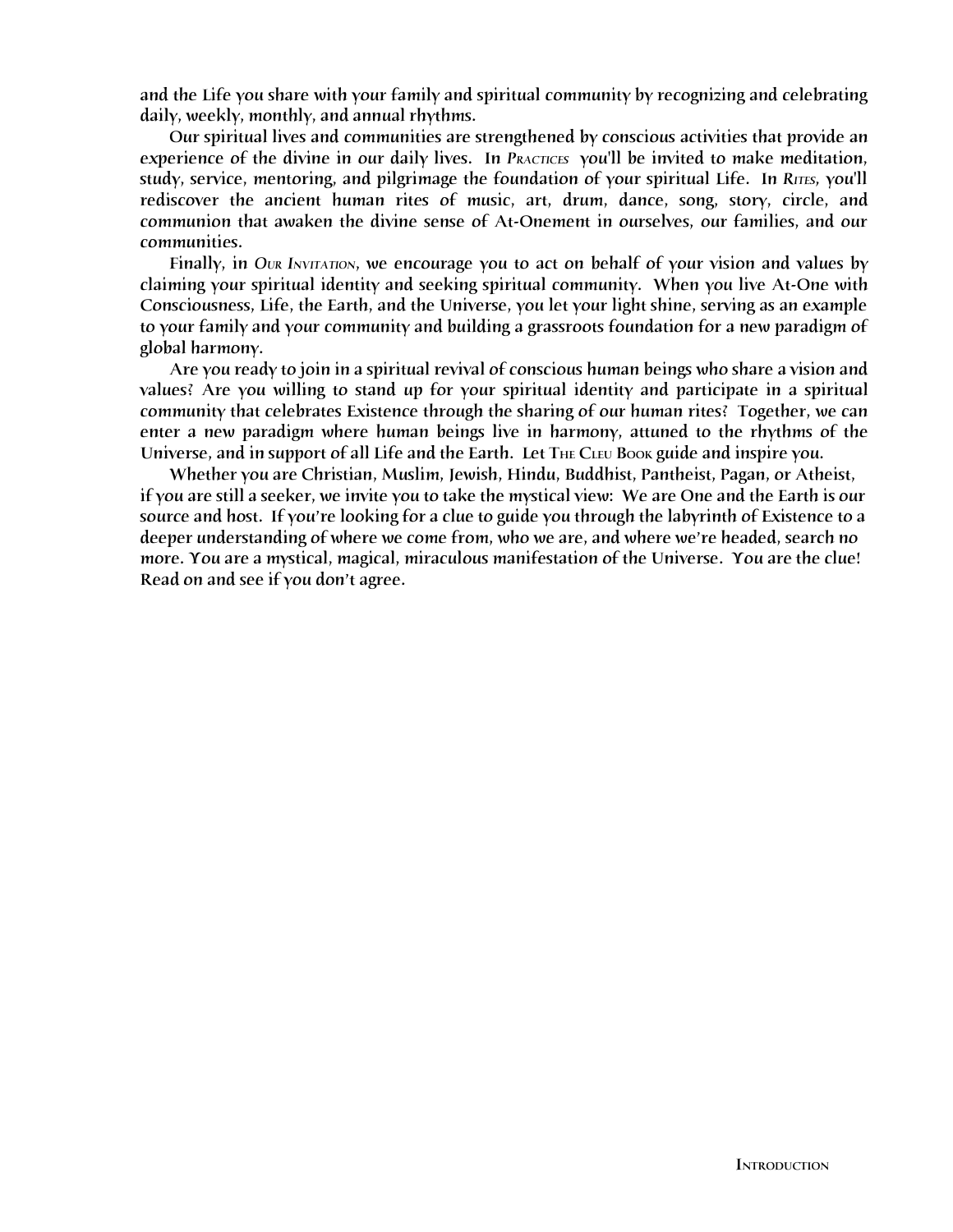and the Life you share with your family and spiritual community by recognizing and celebrating daily, weekly, monthly, and annual rhythms.

Our spiritual lives and communities are strengthened by conscious activities that provide an experience of the divine in our daily lives. In *PRACTICES* you'll be invited to make meditation, study, service, mentoring, and pilgrimage the foundation of your spiritual Life. In *RITES,* you'll rediscover the ancient human rites of music, art, drum, dance, song, story, circle, and communion that awaken the divine sense of At-Onement in ourselves, our families, and our communities.

Finally, in *OUR INVITATION*, we encourage you to act on behalf of your vision and values by claiming your spiritual identity and seeking spiritual community. When you live At-One with Consciousness, Life, the Earth, and the Universe, you let your light shine, serving as an example to your family and your community and building a grassroots foundation for a new paradigm of global harmony.

Are you ready to join in a spiritual revival of conscious human beings who share a vision and values? Are you willing to stand up for your spiritual identity and participate in a spiritual community that celebrates Existence through the sharing of our human rites? Together, we can enter a new paradigm where human beings live in harmony, attuned to the rhythms of the Universe, and in support of all Life and the Earth. Let THE CLEU BOOK guide and inspire you.

Whether you are Christian, Muslim, Jewish, Hindu, Buddhist, Pantheist, Pagan, or Atheist, if you are still a seeker, we invite you to take the mystical view: We are One and the Earth is our source and host. If you're looking for a clue to guide you through the labyrinth of Existence to a deeper understanding of where we come from, who we are, and where we're headed, search no more. You are a mystical, magical, miraculous manifestation of the Universe. You are the clue! Read on and see if you don't agree.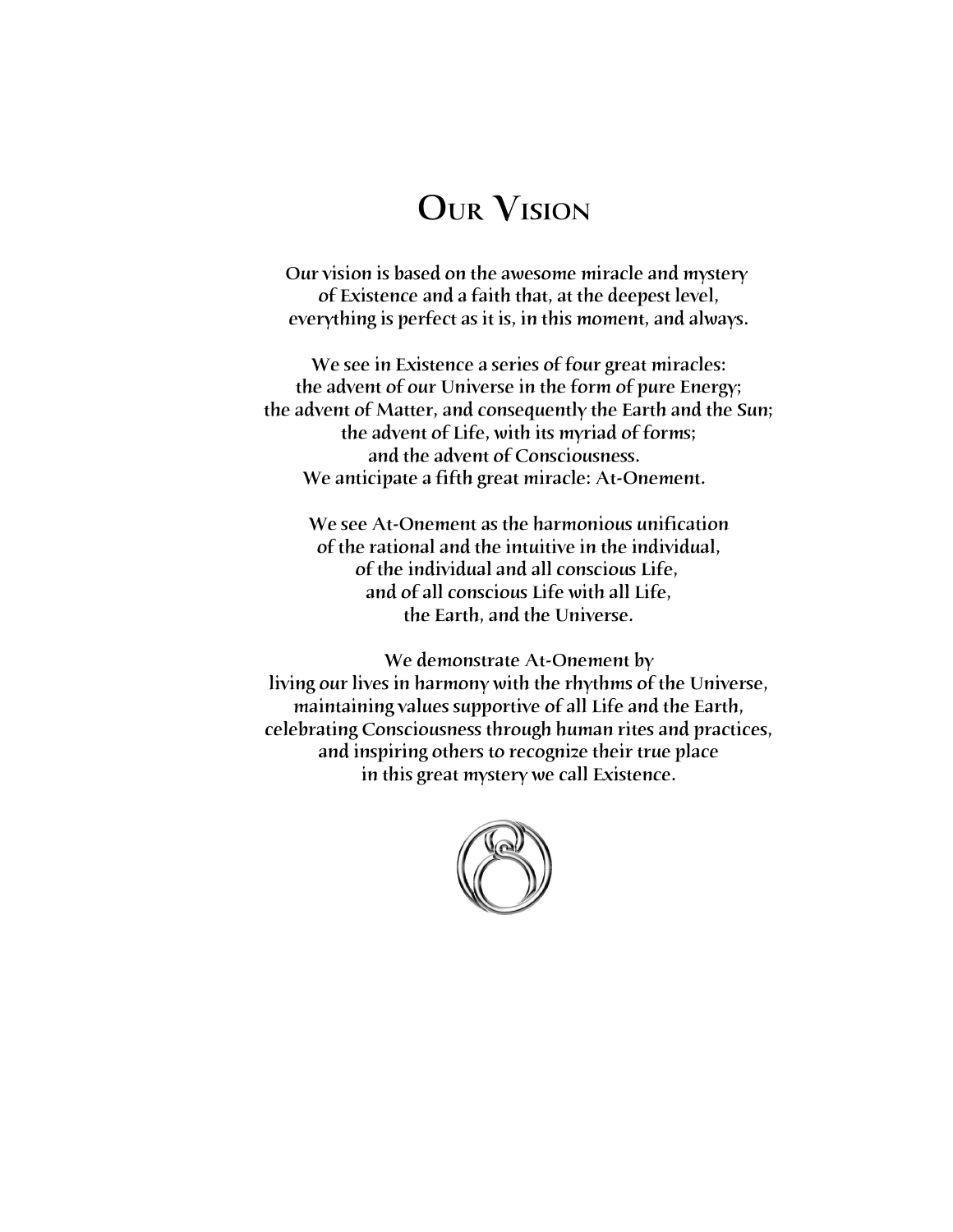# **OUR VISION**

Our vision is based on the awesome miracle and mystery of Existence and a faith that, at the deepest level, everything is perfect as it is, in this moment, and always.

We see in Existence a series of four great miracles: the advent of our Universe in the form of pure Energy; the advent of Matter, and consequently the Earth and the Sun; the advent of Life, with its myriad of forms; and the advent of Consciousness. We anticipate a fifth great miracle: At-Onement.

We see At-Onement as the harmonious unification of the rational and the intuitive in the individual, of the individual and all conscious Life, and of all conscious Life with all Life, the Earth, and the Universe.

We demonstrate At-Onement by living our lives in harmony with the rhythms of the Universe, maintaining values supportive of all Life and the Earth, celebrating Consciousness through human rites and practices, and inspiring others to recognize their true place in this great mystery we call Existence.

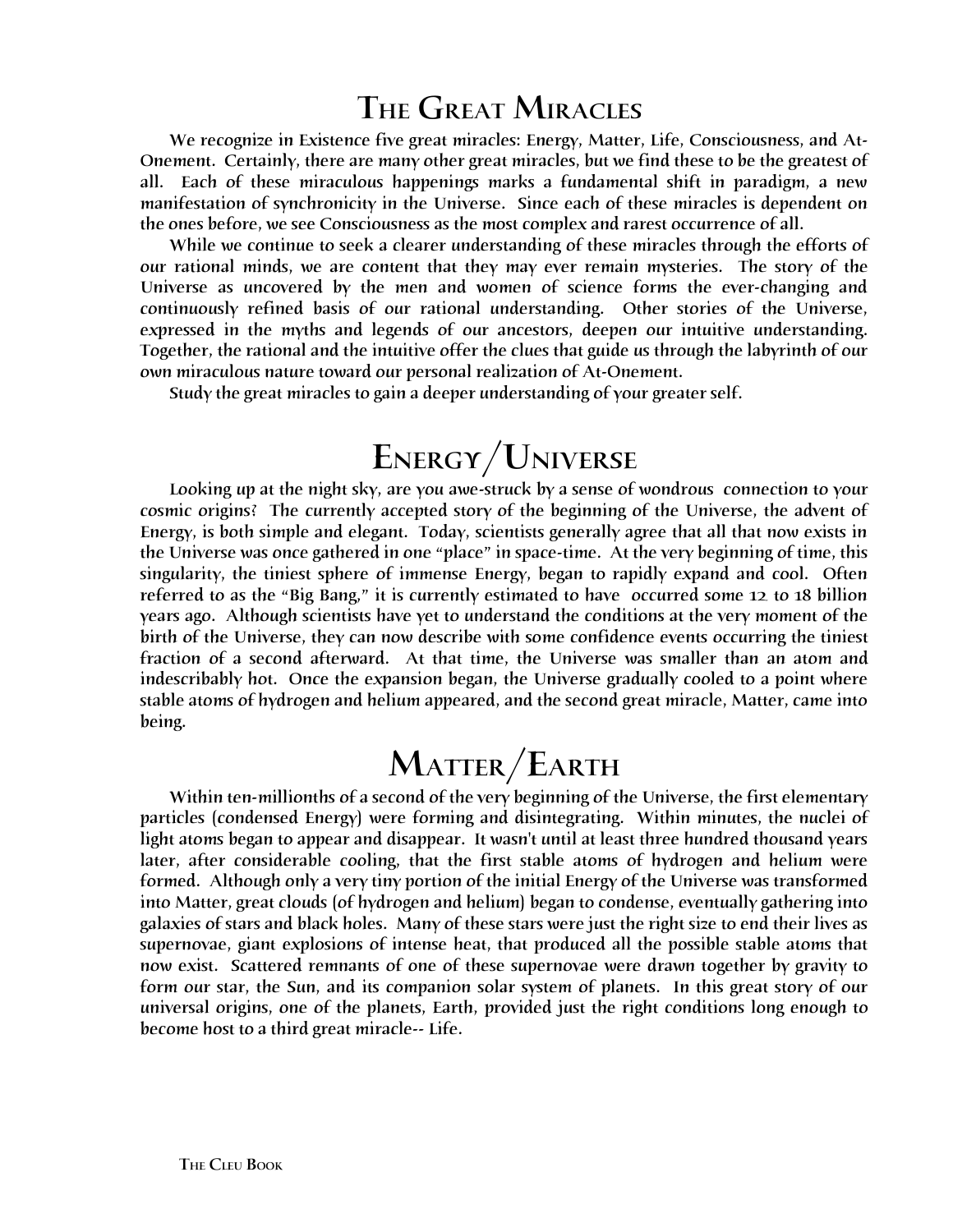# THE GREAT MIRACLES

We recognize in Existence five great miracles: Energy, Matter, Life, Consciousness, and At-Onement. Certainly, there are many other great miracles, but we find these to be the greatest of all. Each of these miraculous happenings marks a fundamental shift in paradigm, a new manifestation of synchronicity in the Universe. Since each of these miracles is dependent on the ones before, we see Consciousness as the most complex and rarest occurrence of all.

While we continue to seek a clearer understanding of these miracles through the efforts of our rational minds, we are content that they may ever remain mysteries. The story of the Universe as uncovered by the men and women of science forms the ever-changing and continuously refined basis of our rational understanding. Other stories of the Universe, expressed in the myths and legends of our ancestors, deepen our intuitive understanding. Together, the rational and the intuitive offer the clues that guide us through the labyrinth of our own miraculous nature toward our personal realization of At-Onement.

Study the great miracles to gain a deeper understanding of your greater self.

# ENERGY/UNIVERSE

Looking up at the night sky, are you awe-struck by a sense of wondrous connection to your cosmic origins? The currently accepted story of the beginning of the Universe, the advent of Energy, is both simple and elegant. Today, scientists generally agree that all that now exists in the Universe was once gathered in one "place" in space-time. At the very beginning of time, this singularity, the tiniest sphere of immense Energy, began to rapidly expand and cool. Often referred to as the "Big Bang," it is currently estimated to have occurred some 12 to 18 billion years ago. Although scientists have yet to understand the conditions at the very moment of the birth of the Universe, they can now describe with some confidence events occurring the tiniest fraction of a second afterward. At that time, the Universe was smaller than an atom and indescribably hot. Once the expansion began, the Universe gradually cooled to a point where stable atoms of hydrogen and helium appeared, and the second great miracle, Matter, came into being.

# MATTER/EARTH

Within ten-millionths of a second of the very beginning of the Universe, the first elementary particles (condensed Energy) were forming and disintegrating. Within minutes, the nuclei of light atoms began to appear and disappear. It wasn't until at least three hundred thousand years later, after considerable cooling, that the first stable atoms of hydrogen and helium were formed. Although only a very tiny portion of the initial Energy of the Universe was transformed into Matter, great clouds (of hydrogen and helium) began to condense, eventually gathering into galaxies of stars and black holes. Many of these stars were just the right size to end their lives as supernovae, giant explosions of intense heat, that produced all the possible stable atoms that now exist. Scattered remnants of one of these supernovae were drawn together by gravity to form our star, the Sun, and its companion solar system of planets. In this great story of our universal origins, one of the planets, Earth, provided just the right conditions long enough to become host to a third great miracle-- Life.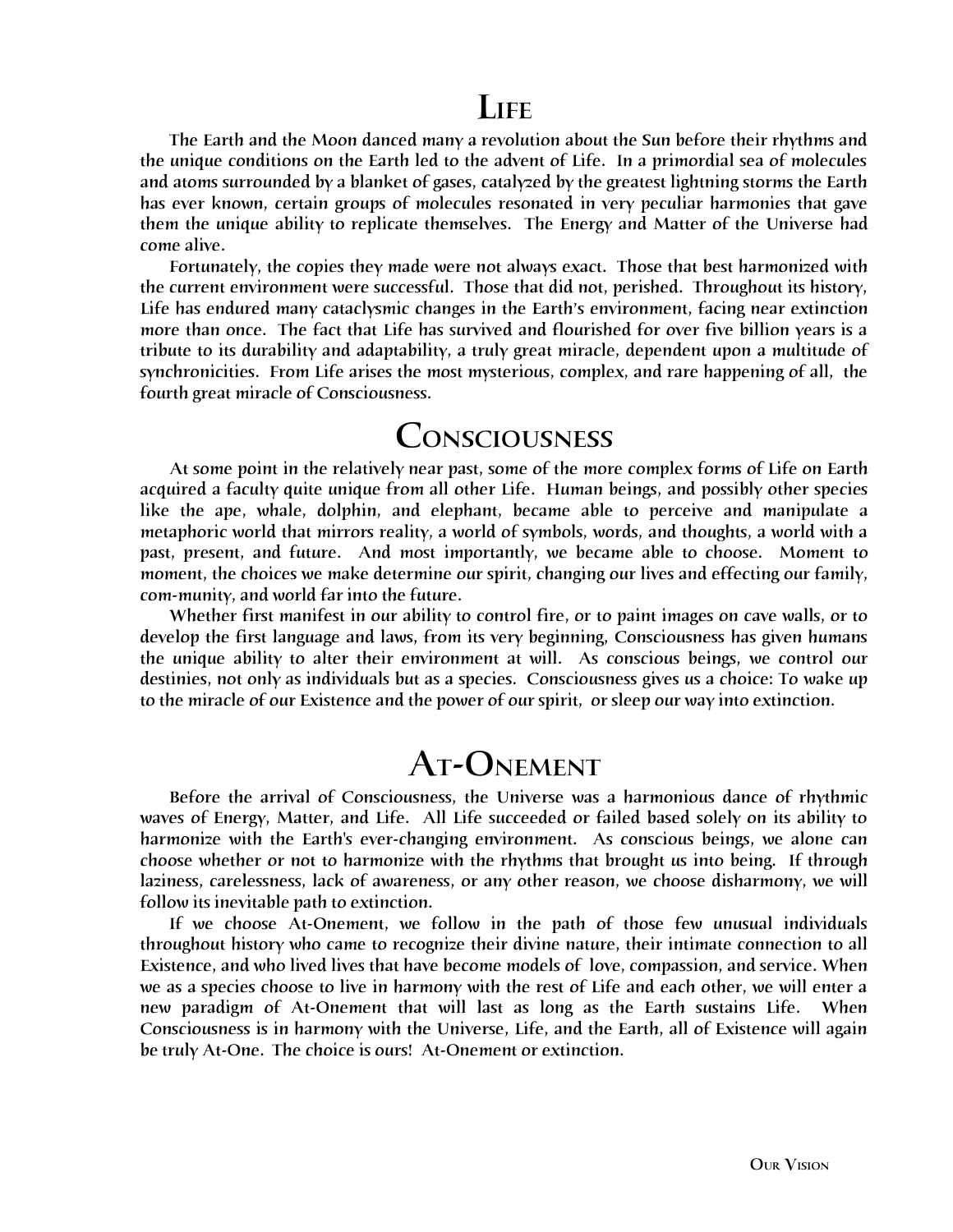# **LIFE**

The Earth and the Moon danced many a revolution about the Sun before their rhythms and the unique conditions on the Earth led to the advent of Life. In a primordial sea of molecules and atoms surrounded by a blanket of gases, catalyzed by the greatest lightning storms the Earth has ever known, certain groups of molecules resonated in very peculiar harmonies that gave them the unique ability to replicate themselves. The Energy and Matter of the Universe had come alive.

Fortunately, the copies they made were not always exact. Those that best harmonized with the current environment were successful. Those that did not, perished. Throughout its history, Life has endured many cataclysmic changes in the Earth's environment, facing near extinction more than once. The fact that Life has survived and flourished for over five billion years is a tribute to its durability and adaptability, a truly great miracle, dependent upon a multitude of synchronicities. From Life arises the most mysterious, complex, and rare happening of all, the fourth great miracle of Consciousness.

### **CONSCIOUSNESS**

At some point in the relatively near past, some of the more complex forms of Life on Earth acquired a faculty quite unique from all other Life. Human beings, and possibly other species like the ape, whale, dolphin, and elephant, became able to perceive and manipulate a metaphoric world that mirrors reality, a world of symbols, words, and thoughts, a world with a past, present, and future. And most importantly, we became able to choose. Moment to moment, the choices we make determine our spirit, changing our lives and effecting our family, com-munity, and world far into the future.

Whether first manifest in our ability to control fire, or to paint images on cave walls, or to develop the first language and laws, from its very beginning, Consciousness has given humans the unique ability to alter their environment at will. As conscious beings, we control our destinies, not only as individuals but as a species. Consciousness gives us a choice: To wake up to the miracle of our Existence and the power of our spirit, or sleep our way into extinction.

# AT-ONEMENT

Before the arrival of Consciousness, the Universe was a harmonious dance of rhythmic waves of Energy, Matter, and Life. All Life succeeded or failed based solely on its ability to harmonize with the Earth's ever-changing environment. As conscious beings, we alone can choose whether or not to harmonize with the rhythms that brought us into being. If through laziness, carelessness, lack of awareness, or any other reason, we choose disharmony, we will follow its inevitable path to extinction.

If we choose At-Onement, we follow in the path of those few unusual individuals throughout history who came to recognize their divine nature, their intimate connection to all Existence, and who lived lives that have become models of love, compassion, and service. When we as a species choose to live in harmony with the rest of Life and each other, we will enter a new paradigm of At-Onement that will last as long as the Earth sustains Life. When Consciousness is in harmony with the Universe, Life, and the Earth, all of Existence will again be truly At-One. The choice is ours! At-Onement or extinction.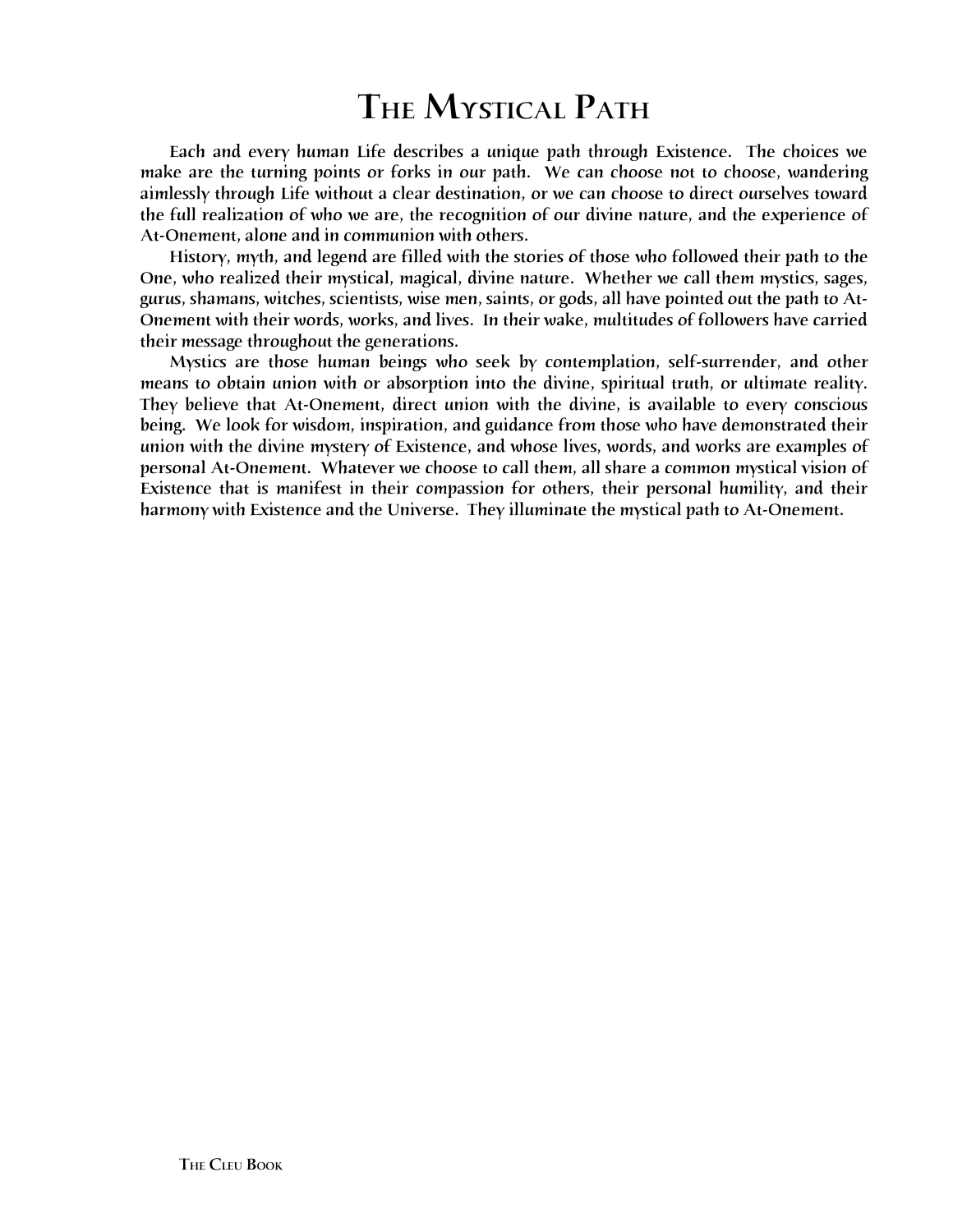# THE MYSTICAL PATH

Each and every human Life describes a unique path through Existence. The choices we make are the turning points or forks in our path. We can choose not to choose, wandering aimlessly through Life without a clear destination, or we can choose to direct ourselves toward the full realization of who we are, the recognition of our divine nature, and the experience of At-Onement, alone and in communion with others.

History, myth, and legend are filled with the stories of those who followed their path to the One, who realized their mystical, magical, divine nature. Whether we call them mystics, sages, gurus, shamans, witches, scientists, wise men, saints, or gods, all have pointed out the path to At-Onement with their words, works, and lives. In their wake, multitudes of followers have carried their message throughout the generations.

Mystics are those human beings who seek by contemplation, self-surrender, and other means to obtain union with or absorption into the divine, spiritual truth, or ultimate reality. They believe that At-Onement, direct union with the divine, is available to every conscious being. We look for wisdom, inspiration, and guidance from those who have demonstrated their union with the divine mystery of Existence, and whose lives, words, and works are examples of personal At-Onement. Whatever we choose to call them, all share a common mystical vision of Existence that is manifest in their compassion for others, their personal humility, and their harmony with Existence and the Universe. They illuminate the mystical path to At-Onement.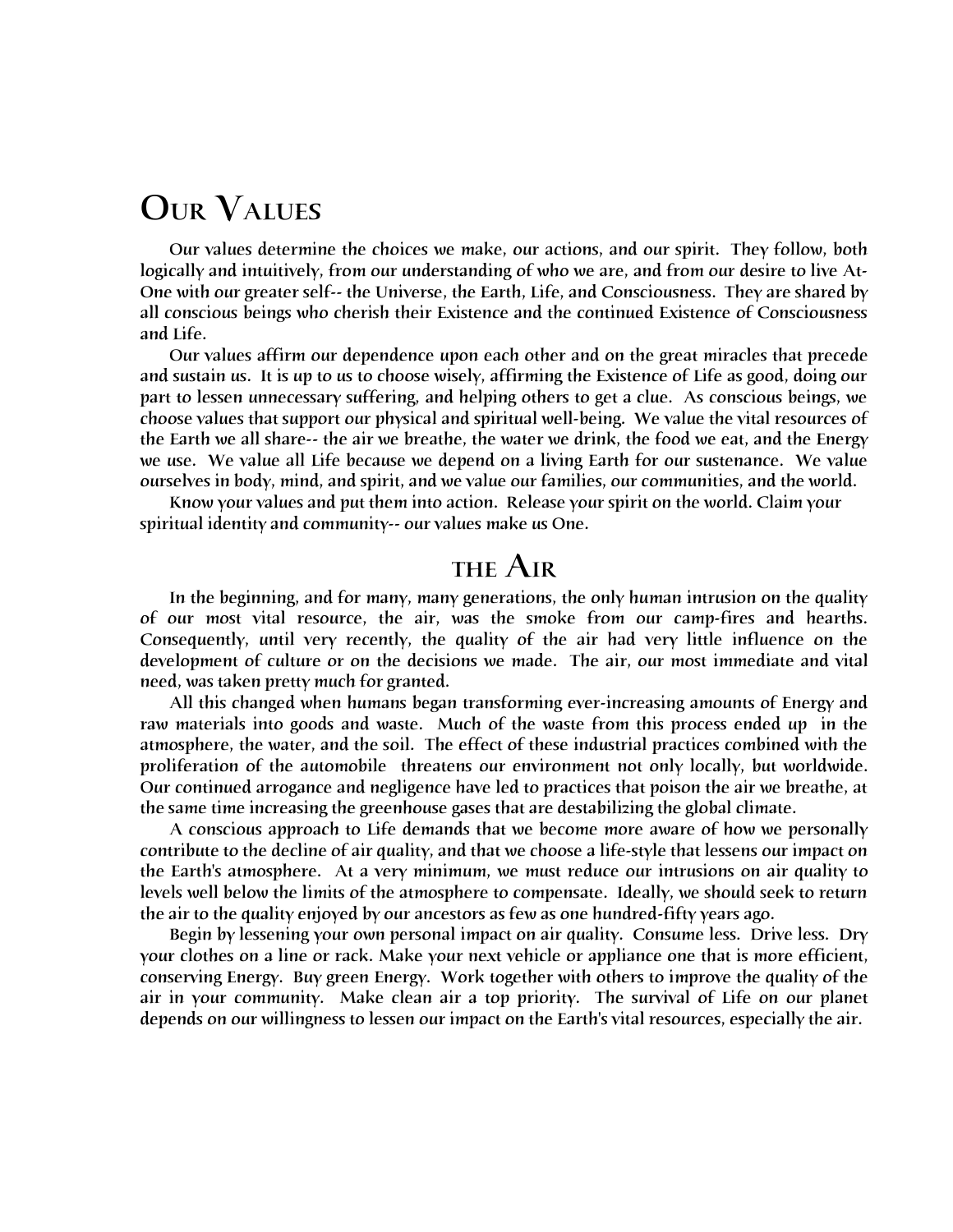# **OUR VALUES**

Our values determine the choices we make, our actions, and our spirit. They follow, both logically and intuitively, from our understanding of who we are, and from our desire to live At-One with our greater self-- the Universe, the Earth, Life, and Consciousness. They are shared by all conscious beings who cherish their Existence and the continued Existence of Consciousness and Life.

Our values affirm our dependence upon each other and on the great miracles that precede and sustain us. It is up to us to choose wisely, affirming the Existence of Life as good, doing our part to lessen unnecessary suffering, and helping others to get a clue. As conscious beings, we choose values that support our physical and spiritual well-being. We value the vital resources of the Earth we all share-- the air we breathe, the water we drink, the food we eat, and the Energy we use. We value all Life because we depend on a living Earth for our sustenance. We value ourselves in body, mind, and spirit, and we value our families, our communities, and the world.

Know your values and put them into action. Release your spirit on the world. Claim your spiritual identity and community-- our values make us One.

#### THE AIR

In the beginning, and for many, many generations, the only human intrusion on the quality of our most vital resource, the air, was the smoke from our camp-fires and hearths. Consequently, until very recently, the quality of the air had very little influence on the development of culture or on the decisions we made. The air, our most immediate and vital need, was taken pretty much for granted.

All this changed when humans began transforming ever-increasing amounts of Energy and raw materials into goods and waste. Much of the waste from this process ended up in the atmosphere, the water, and the soil. The effect of these industrial practices combined with the proliferation of the automobile threatens our environment not only locally, but worldwide. Our continued arrogance and negligence have led to practices that poison the air we breathe, at the same time increasing the greenhouse gases that are destabilizing the global climate.

A conscious approach to Life demands that we become more aware of how we personally contribute to the decline of air quality, and that we choose a life-style that lessens our impact on the Earth's atmosphere. At a very minimum, we must reduce our intrusions on air quality to levels well below the limits of the atmosphere to compensate. Ideally, we should seek to return the air to the quality enjoyed by our ancestors as few as one hundred-fifty years ago.

Begin by lessening your own personal impact on air quality. Consume less. Drive less. Dry your clothes on a line or rack. Make your next vehicle or appliance one that is more efficient, conserving Energy. Buy green Energy. Work together with others to improve the quality of the air in your community. Make clean air a top priority. The survival of Life on our planet depends on our willingness to lessen our impact on the Earth's vital resources, especially the air.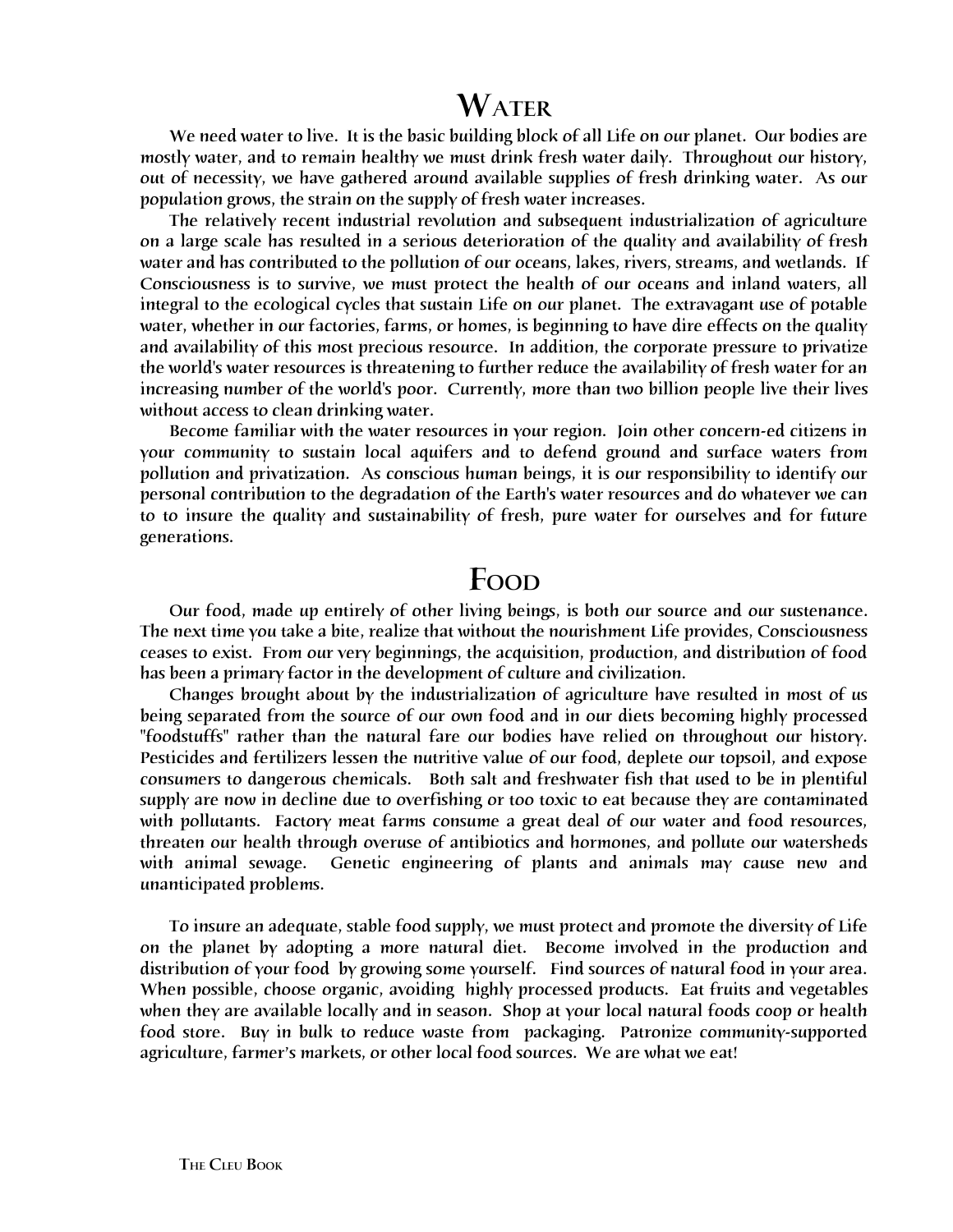#### **WATER**

We need water to live. It is the basic building block of all Life on our planet. Our bodies are mostly water, and to remain healthy we must drink fresh water daily. Throughout our history, out of necessity, we have gathered around available supplies of fresh drinking water. As our population grows, the strain on the supply of fresh water increases.

The relatively recent industrial revolution and subsequent industrialization of agriculture on a large scale has resulted in a serious deterioration of the quality and availability of fresh water and has contributed to the pollution of our oceans, lakes, rivers, streams, and wetlands. If Consciousness is to survive, we must protect the health of our oceans and inland waters, all integral to the ecological cycles that sustain Life on our planet. The extravagant use of potable water, whether in our factories, farms, or homes, is beginning to have dire effects on the quality and availability of this most precious resource. In addition, the corporate pressure to privatize the world's water resources is threatening to further reduce the availability of fresh water for an increasing number of the world's poor. Currently, more than two billion people live their lives without access to clean drinking water.

Become familiar with the water resources in your region. Join other concern-ed citizens in your community to sustain local aquifers and to defend ground and surface waters from pollution and privatization. As conscious human beings, it is our responsibility to identify our personal contribution to the degradation of the Earth's water resources and do whatever we can to to insure the quality and sustainability of fresh, pure water for ourselves and for future generations.

#### FOOD

Our food, made up entirely of other living beings, is both our source and our sustenance. The next time you take a bite, realize that without the nourishment Life provides, Consciousness ceases to exist. From our very beginnings, the acquisition, production, and distribution of food has been a primary factor in the development of culture and civilization.

Changes brought about by the industrialization of agriculture have resulted in most of us being separated from the source of our own food and in our diets becoming highly processed "foodstuffs" rather than the natural fare our bodies have relied on throughout our history. Pesticides and fertilizers lessen the nutritive value of our food, deplete our topsoil, and expose consumers to dangerous chemicals. Both salt and freshwater fish that used to be in plentiful supply are now in decline due to overfishing or too toxic to eat because they are contaminated with pollutants. Factory meat farms consume a great deal of our water and food resources, threaten our health through overuse of antibiotics and hormones, and pollute our watersheds with animal sewage. Genetic engineering of plants and animals may cause new and unanticipated problems.

To insure an adequate, stable food supply, we must protect and promote the diversity of Life on the planet by adopting a more natural diet. Become involved in the production and distribution of your food by growing some yourself. Find sources of natural food in your area. When possible, choose organic, avoiding highly processed products. Eat fruits and vegetables when they are available locally and in season. Shop at your local natural foods coop or health food store. Buy in bulk to reduce waste from packaging. Patronize community-supported agriculture, farmer's markets, or other local food sources. We are what we eat!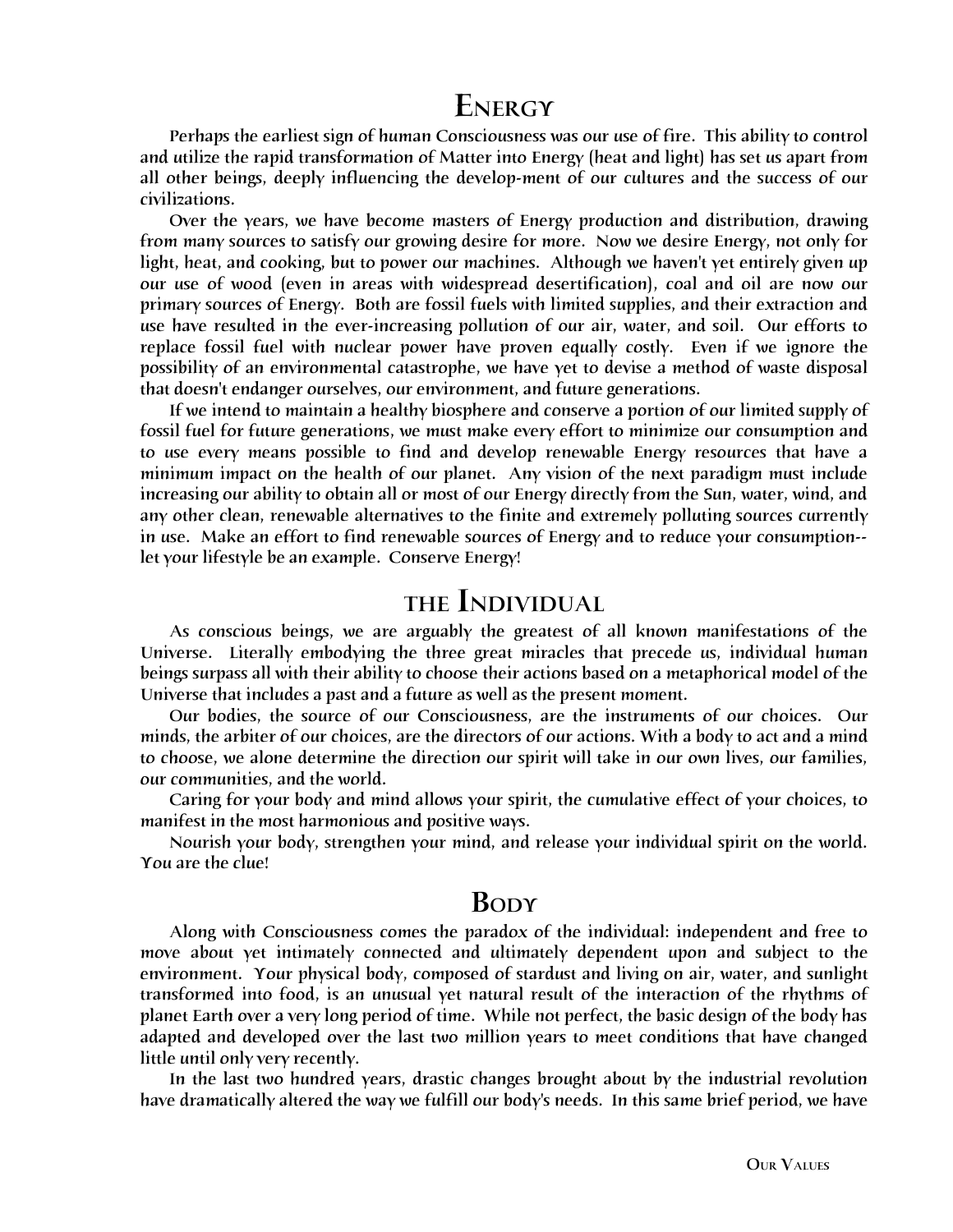#### **ENERGY**

Perhaps the earliest sign of human Consciousness was our use of fire. This ability to control and utilize the rapid transformation of Matter into Energy (heat and light) has set us apart from all other beings, deeply influencing the develop-ment of our cultures and the success of our civilizations.

Over the years, we have become masters of Energy production and distribution, drawing from many sources to satisfy our growing desire for more. Now we desire Energy, not only for light, heat, and cooking, but to power our machines. Although we haven't yet entirely given up our use of wood (even in areas with widespread desertification), coal and oil are now our primary sources of Energy. Both are fossil fuels with limited supplies, and their extraction and use have resulted in the ever-increasing pollution of our air, water, and soil. Our efforts to replace fossil fuel with nuclear power have proven equally costly. Even if we ignore the possibility of an environmental catastrophe, we have yet to devise a method of waste disposal that doesn't endanger ourselves, our environment, and future generations.

If we intend to maintain a healthy biosphere and conserve a portion of our limited supply of fossil fuel for future generations, we must make every effort to minimize our consumption and to use every means possible to find and develop renewable Energy resources that have a minimum impact on the health of our planet. Any vision of the next paradigm must include increasing our ability to obtain all or most of our Energy directly from the Sun, water, wind, and any other clean, renewable alternatives to the finite and extremely polluting sources currently in use. Make an effort to find renewable sources of Energy and to reduce your consumption- let your lifestyle be an example. Conserve Energy!

#### THE INDIVIDUAL

As conscious beings, we are arguably the greatest of all known manifestations of the Universe. Literally embodying the three great miracles that precede us, individual human beings surpass all with their ability to choose their actions based on a metaphorical model of the Universe that includes a past and a future as well as the present moment.

Our bodies, the source of our Consciousness, are the instruments of our choices. Our minds, the arbiter of our choices, are the directors of our actions. With a body to act and a mind to choose, we alone determine the direction our spirit will take in our own lives, our families, our communities, and the world.

Caring for your body and mind allows your spirit, the cumulative effect of your choices, to manifest in the most harmonious and positive ways.

Nourish your body, strengthen your mind, and release your individual spirit on the world. You are the clue!

#### **BODY**

Along with Consciousness comes the paradox of the individual: independent and free to move about yet intimately connected and ultimately dependent upon and subject to the environment. Your physical body, composed of stardust and living on air, water, and sunlight transformed into food, is an unusual yet natural result of the interaction of the rhythms of planet Earth over a very long period of time. While not perfect, the basic design of the body has adapted and developed over the last two million years to meet conditions that have changed little until only very recently.

In the last two hundred years, drastic changes brought about by the industrial revolution have dramatically altered the way we fulfill our body's needs. In this same brief period, we have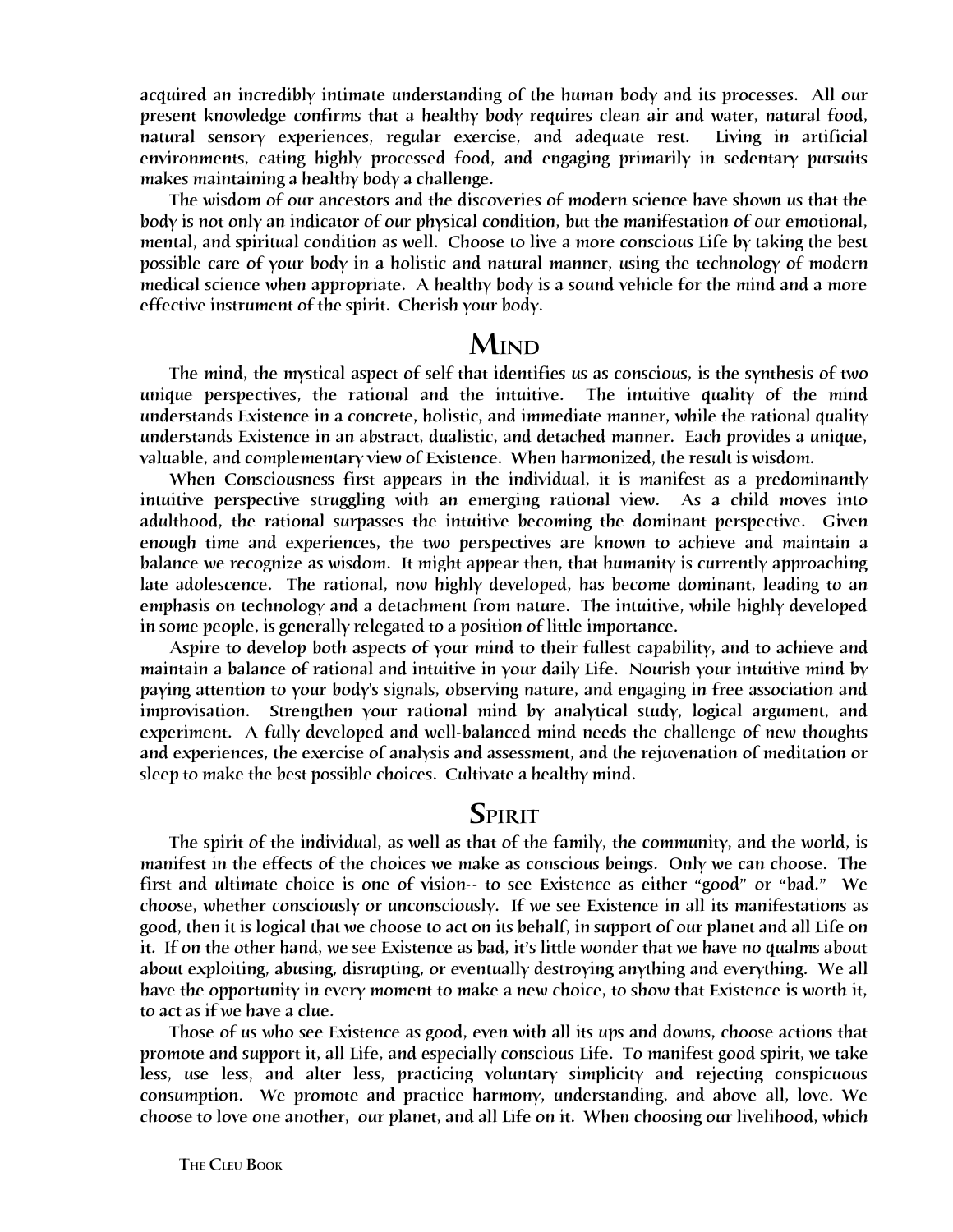acquired an incredibly intimate understanding of the human body and its processes. All our present knowledge confirms that a healthy body requires clean air and water, natural food, natural sensory experiences, regular exercise, and adequate rest. Living in artificial environments, eating highly processed food, and engaging primarily in sedentary pursuits makes maintaining a healthy body a challenge.

The wisdom of our ancestors and the discoveries of modern science have shown us that the body is not only an indicator of our physical condition, but the manifestation of our emotional, mental, and spiritual condition as well. Choose to live a more conscious Life by taking the best possible care of your body in a holistic and natural manner, using the technology of modern medical science when appropriate. A healthy body is a sound vehicle for the mind and a more effective instrument of the spirit. Cherish your body.

#### **MIND**

The mind, the mystical aspect of self that identifies us as conscious, is the synthesis of two unique perspectives, the rational and the intuitive. The intuitive quality of the mind understands Existence in a concrete, holistic, and immediate manner, while the rational quality understands Existence in an abstract, dualistic, and detached manner. Each provides a unique, valuable, and complementary view of Existence. When harmonized, the result is wisdom.

When Consciousness first appears in the individual, it is manifest as a predominantly intuitive perspective struggling with an emerging rational view. As a child moves into adulthood, the rational surpasses the intuitive becoming the dominant perspective. Given enough time and experiences, the two perspectives are known to achieve and maintain a balance we recognize as wisdom. It might appear then, that humanity is currently approaching late adolescence. The rational, now highly developed, has become dominant, leading to an emphasis on technology and a detachment from nature. The intuitive, while highly developed in some people, is generally relegated to a position of little importance.

Aspire to develop both aspects of your mind to their fullest capability, and to achieve and maintain a balance of rational and intuitive in your daily Life. Nourish your intuitive mind by paying attention to your body's signals, observing nature, and engaging in free association and improvisation. Strengthen your rational mind by analytical study, logical argument, and experiment. A fully developed and well-balanced mind needs the challenge of new thoughts and experiences, the exercise of analysis and assessment, and the rejuvenation of meditation or sleep to make the best possible choices. Cultivate a healthy mind.

#### **SPIRIT**

The spirit of the individual, as well as that of the family, the community, and the world, is manifest in the effects of the choices we make as conscious beings. Only we can choose. The first and ultimate choice is one of vision-- to see Existence as either "good" or "bad." We choose, whether consciously or unconsciously. If we see Existence in all its manifestations as good, then it is logical that we choose to act on its behalf, in support of our planet and all Life on it. If on the other hand, we see Existence as bad, it's little wonder that we have no qualms about about exploiting, abusing, disrupting, or eventually destroying anything and everything. We all have the opportunity in every moment to make a new choice, to show that Existence is worth it, to act as if we have a clue.

Those of us who see Existence as good, even with all its ups and downs, choose actions that promote and support it, all Life, and especially conscious Life. To manifest good spirit, we take less, use less, and alter less, practicing voluntary simplicity and rejecting conspicuous consumption. We promote and practice harmony, understanding, and above all, love. We choose to love one another, our planet, and all Life on it. When choosing our livelihood, which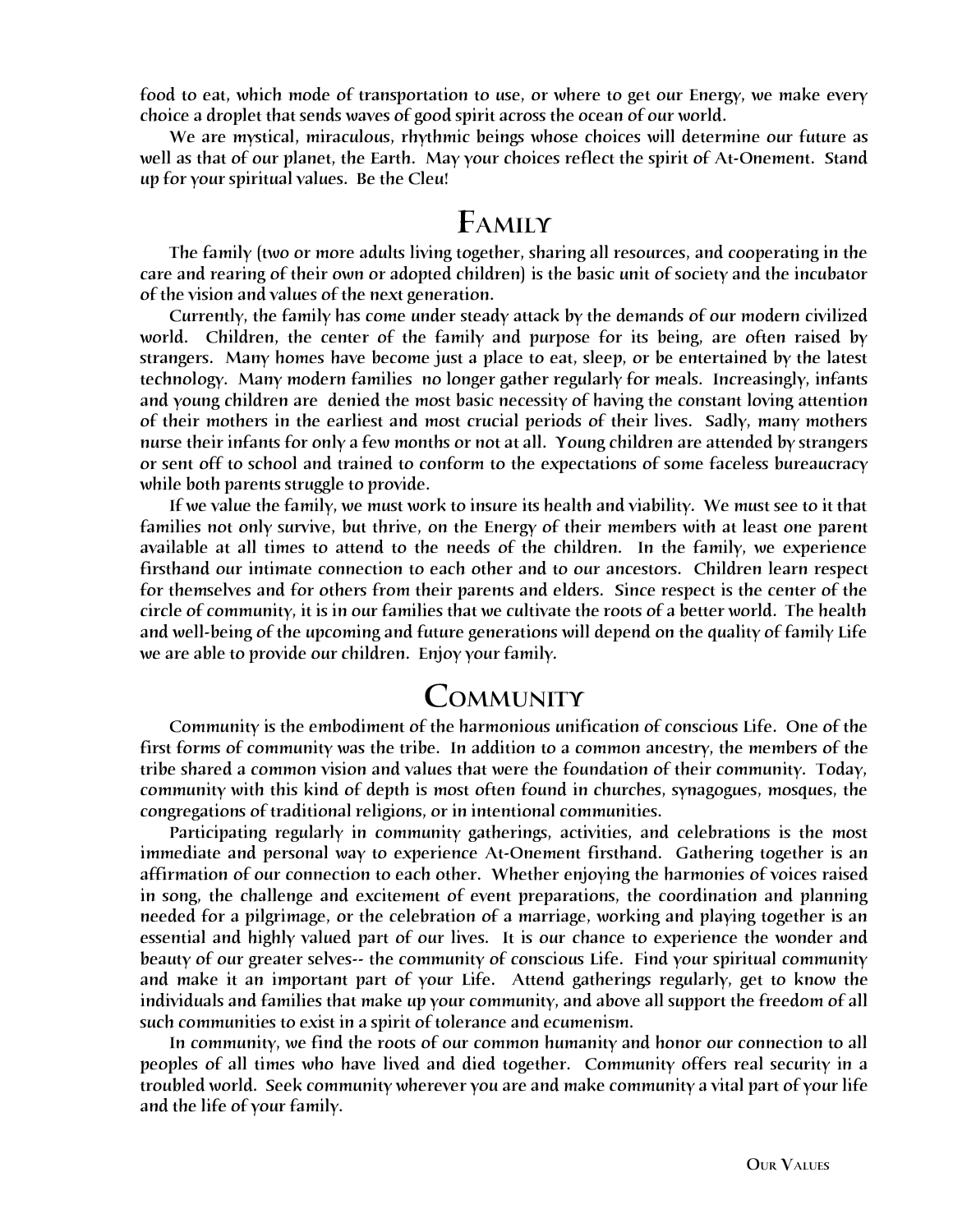food to eat, which mode of transportation to use, or where to get our Energy, we make every choice a droplet that sends waves of good spirit across the ocean of our world.

We are mystical, miraculous, rhythmic beings whose choices will determine our future as well as that of our planet, the Earth. May your choices reflect the spirit of At-Onement. Stand up for your spiritual values. Be the Cleu!

#### FAMILY

The family (two or more adults living together, sharing all resources, and cooperating in the care and rearing of their own or adopted children) is the basic unit of society and the incubator of the vision and values of the next generation.

Currently, the family has come under steady attack by the demands of our modern civilized world. Children, the center of the family and purpose for its being, are often raised by strangers. Many homes have become just a place to eat, sleep, or be entertained by the latest technology. Many modern families no longer gather regularly for meals. Increasingly, infants and young children are denied the most basic necessity of having the constant loving attention of their mothers in the earliest and most crucial periods of their lives. Sadly, many mothers nurse their infants for only a few months or not at all. Young children are attended by strangers or sent off to school and trained to conform to the expectations of some faceless bureaucracy while both parents struggle to provide.

If we value the family, we must work to insure its health and viability. We must see to it that families not only survive, but thrive, on the Energy of their members with at least one parent available at all times to attend to the needs of the children. In the family, we experience firsthand our intimate connection to each other and to our ancestors. Children learn respect for themselves and for others from their parents and elders. Since respect is the center of the circle of community, it is in our families that we cultivate the roots of a better world. The health and well-being of the upcoming and future generations will depend on the quality of family Life we are able to provide our children. Enjoy your family.

#### **COMMUNITY**

Community is the embodiment of the harmonious unification of conscious Life. One of the first forms of community was the tribe. In addition to a common ancestry, the members of the tribe shared a common vision and values that were the foundation of their community. Today, community with this kind of depth is most often found in churches, synagogues, mosques, the congregations of traditional religions, or in intentional communities.

Participating regularly in community gatherings, activities, and celebrations is the most immediate and personal way to experience At-Onement firsthand. Gathering together is an affirmation of our connection to each other. Whether enjoying the harmonies of voices raised in song, the challenge and excitement of event preparations, the coordination and planning needed for a pilgrimage, or the celebration of a marriage, working and playing together is an essential and highly valued part of our lives. It is our chance to experience the wonder and beauty of our greater selves-- the community of conscious Life. Find your spiritual community and make it an important part of your Life. Attend gatherings regularly, get to know the individuals and families that make up your community, and above all support the freedom of all such communities to exist in a spirit of tolerance and ecumenism.

In community, we find the roots of our common humanity and honor our connection to all peoples of all times who have lived and died together. Community offers real security in a troubled world. Seek community wherever you are and make community a vital part of your life and the life of your family.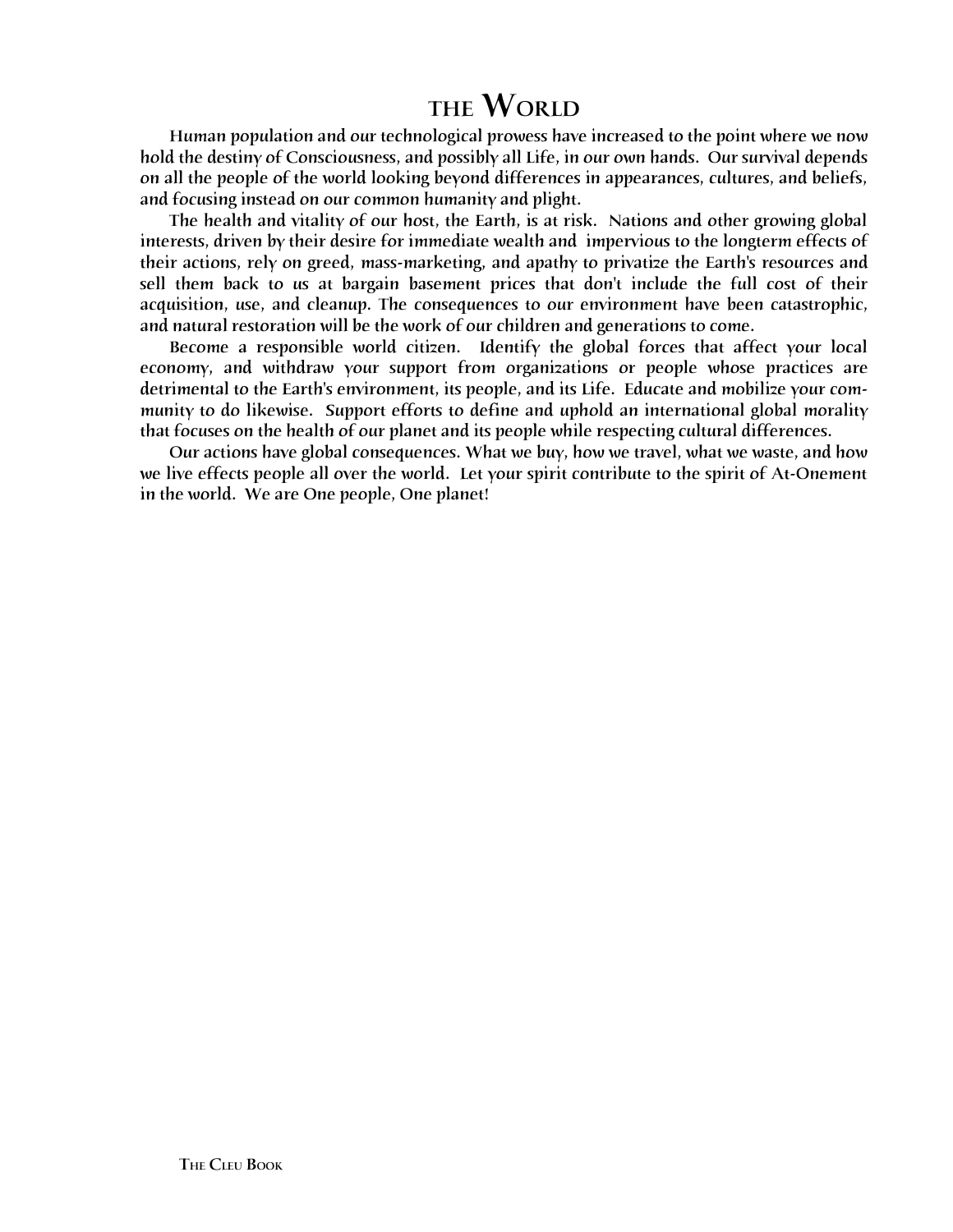#### THE WORLD

Human population and our technological prowess have increased to the point where we now hold the destiny of Consciousness, and possibly all Life, in our own hands. Our survival depends on all the people of the world looking beyond differences in appearances, cultures, and beliefs, and focusing instead on our common humanity and plight.

The health and vitality of our host, the Earth, is at risk. Nations and other growing global interests, driven by their desire for immediate wealth and impervious to the longterm effects of their actions, rely on greed, mass-marketing, and apathy to privatize the Earth's resources and sell them back to us at bargain basement prices that don't include the full cost of their acquisition, use, and cleanup. The consequences to our environment have been catastrophic, and natural restoration will be the work of our children and generations to come.

Become a responsible world citizen. Identify the global forces that affect your local economy, and withdraw your support from organizations or people whose practices are detrimental to the Earth's environment, its people, and its Life. Educate and mobilize your community to do likewise. Support efforts to define and uphold an international global morality that focuses on the health of our planet and its people while respecting cultural differences.

Our actions have global consequences. What we buy, how we travel, what we waste, and how we live effects people all over the world. Let your spirit contribute to the spirit of At-Onement in the world. We are One people, One planet!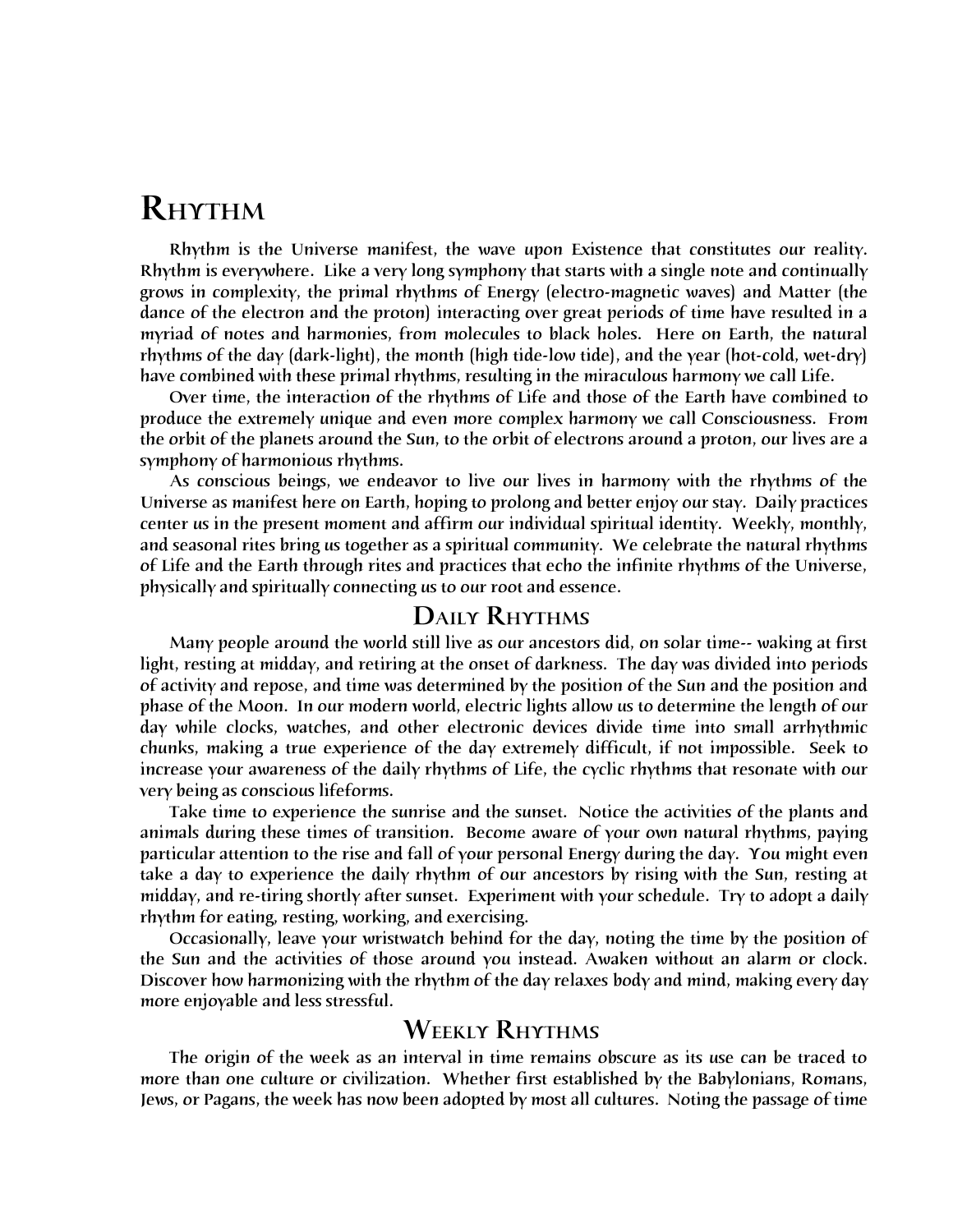### RHYTHM

Rhythm is the Universe manifest, the wave upon Existence that constitutes our reality. Rhythm is everywhere. Like a very long symphony that starts with a single note and continually grows in complexity, the primal rhythms of Energy (electro-magnetic waves) and Matter (the dance of the electron and the proton) interacting over great periods of time have resulted in a myriad of notes and harmonies, from molecules to black holes. Here on Earth, the natural rhythms of the day (dark-light), the month (high tide-low tide), and the year (hot-cold, wet-dry) have combined with these primal rhythms, resulting in the miraculous harmony we call Life.

Over time, the interaction of the rhythms of Life and those of the Earth have combined to produce the extremely unique and even more complex harmony we call Consciousness. From the orbit of the planets around the Sun, to the orbit of electrons around a proton, our lives are a symphony of harmonious rhythms.

As conscious beings, we endeavor to live our lives in harmony with the rhythms of the Universe as manifest here on Earth, hoping to prolong and better enjoy our stay. Daily practices center us in the present moment and affirm our individual spiritual identity. Weekly, monthly, and seasonal rites bring us together as a spiritual community. We celebrate the natural rhythms of Life and the Earth through rites and practices that echo the infinite rhythms of the Universe, physically and spiritually connecting us to our root and essence.

#### DAILY RHYTHMS

Many people around the world still live as our ancestors did, on solar time-- waking at first light, resting at midday, and retiring at the onset of darkness. The day was divided into periods of activity and repose, and time was determined by the position of the Sun and the position and phase of the Moon. In our modern world, electric lights allow us to determine the length of our day while clocks, watches, and other electronic devices divide time into small arrhythmic chunks, making a true experience of the day extremely difficult, if not impossible. Seek to increase your awareness of the daily rhythms of Life, the cyclic rhythms that resonate with our very being as conscious lifeforms.

Take time to experience the sunrise and the sunset. Notice the activities of the plants and animals during these times of transition. Become aware of your own natural rhythms, paying particular attention to the rise and fall of your personal Energy during the day. You might even take a day to experience the daily rhythm of our ancestors by rising with the Sun, resting at midday, and re-tiring shortly after sunset. Experiment with your schedule. Try to adopt a daily rhythm for eating, resting, working, and exercising.

Occasionally, leave your wristwatch behind for the day, noting the time by the position of the Sun and the activities of those around you instead. Awaken without an alarm or clock. Discover how harmonizing with the rhythm of the day relaxes body and mind, making every day more enjoyable and less stressful.

#### WEEKLY RHYTHMS

The origin of the week as an interval in time remains obscure as its use can be traced to more than one culture or civilization. Whether first established by the Babylonians, Romans, Jews, or Pagans, the week has now been adopted by most all cultures. Noting the passage of time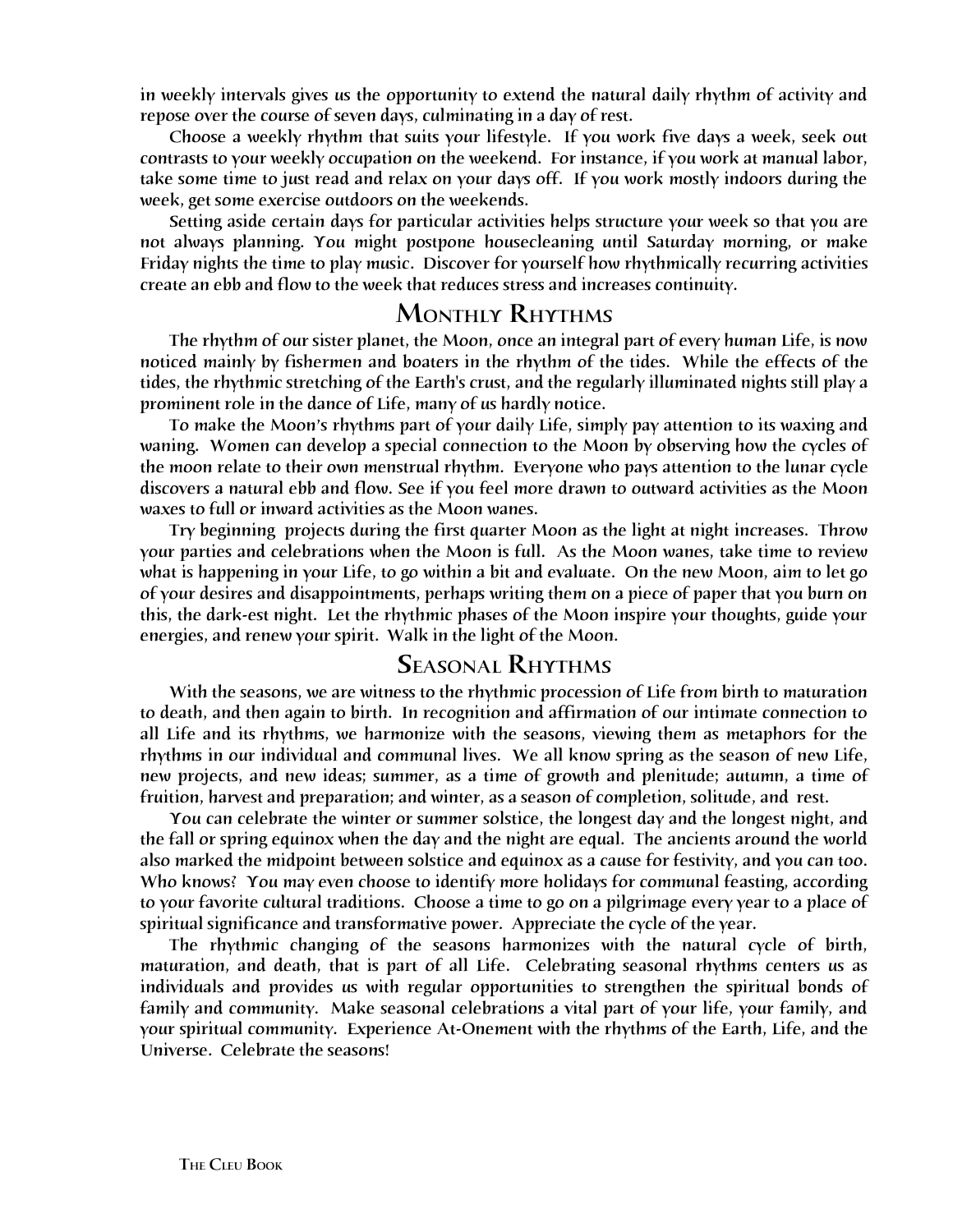in weekly intervals gives us the opportunity to extend the natural daily rhythm of activity and repose over the course of seven days, culminating in a day of rest.

Choose a weekly rhythm that suits your lifestyle. If you work five days a week, seek out contrasts to your weekly occupation on the weekend. For instance, if you work at manual labor, take some time to just read and relax on your days off. If you work mostly indoors during the week, get some exercise outdoors on the weekends.

Setting aside certain days for particular activities helps structure your week so that you are not always planning. You might postpone housecleaning until Saturday morning, or make Friday nights the time to play music. Discover for yourself how rhythmically recurring activities create an ebb and flow to the week that reduces stress and increases continuity.

#### MONTHLY RHYTHMS

The rhythm of our sister planet, the Moon, once an integral part of every human Life, is now noticed mainly by fishermen and boaters in the rhythm of the tides. While the effects of the tides, the rhythmic stretching of the Earth's crust, and the regularly illuminated nights still play a prominent role in the dance of Life, many of us hardly notice.

To make the Moon's rhythms part of your daily Life, simply pay attention to its waxing and waning. Women can develop a special connection to the Moon by observing how the cycles of the moon relate to their own menstrual rhythm. Everyone who pays attention to the lunar cycle discovers a natural ebb and flow. See if you feel more drawn to outward activities as the Moon waxes to full or inward activities as the Moon wanes.

Try beginning projects during the first quarter Moon as the light at night increases. Throw your parties and celebrations when the Moon is full. As the Moon wanes, take time to review what is happening in your Life, to go within a bit and evaluate. On the new Moon, aim to let go of your desires and disappointments, perhaps writing them on a piece of paper that you burn on this, the dark-est night. Let the rhythmic phases of the Moon inspire your thoughts, guide your energies, and renew your spirit. Walk in the light of the Moon.

#### SEASONAL RHYTHMS

With the seasons, we are witness to the rhythmic procession of Life from birth to maturation to death, and then again to birth. In recognition and affirmation of our intimate connection to all Life and its rhythms, we harmonize with the seasons, viewing them as metaphors for the rhythms in our individual and communal lives. We all know spring as the season of new Life, new projects, and new ideas; summer, as a time of growth and plenitude; autumn, a time of fruition, harvest and preparation; and winter, as a season of completion, solitude, and rest.

You can celebrate the winter or summer solstice, the longest day and the longest night, and the fall or spring equinox when the day and the night are equal. The ancients around the world also marked the midpoint between solstice and equinox as a cause for festivity, and you can too. Who knows? You may even choose to identify more holidays for communal feasting, according to your favorite cultural traditions. Choose a time to go on a pilgrimage every year to a place of spiritual significance and transformative power. Appreciate the cycle of the year.

The rhythmic changing of the seasons harmonizes with the natural cycle of birth, maturation, and death, that is part of all Life. Celebrating seasonal rhythms centers us as individuals and provides us with regular opportunities to strengthen the spiritual bonds of family and community. Make seasonal celebrations a vital part of your life, your family, and your spiritual community. Experience At-Onement with the rhythms of the Earth, Life, and the Universe. Celebrate the seasons!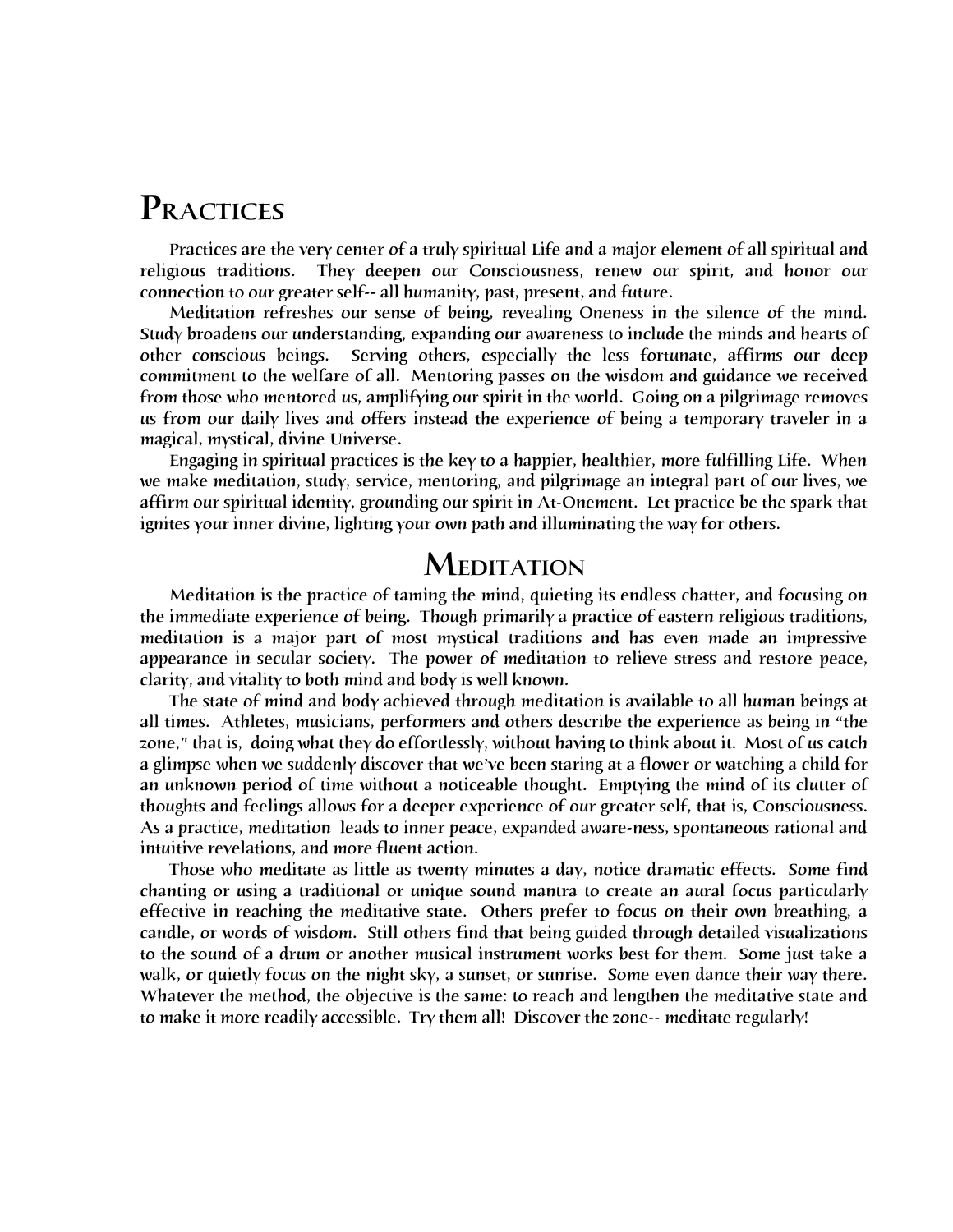### **PRACTICES**

Practices are the very center of a truly spiritual Life and a major element of all spiritual and religious traditions. They deepen our Consciousness, renew our spirit, and honor our connection to our greater self-- all humanity, past, present, and future.

Meditation refreshes our sense of being, revealing Oneness in the silence of the mind. Study broadens our understanding, expanding our awareness to include the minds and hearts of other conscious beings. Serving others, especially the less fortunate, affirms our deep commitment to the welfare of all. Mentoring passes on the wisdom and guidance we received from those who mentored us, amplifying our spirit in the world. Going on a pilgrimage removes us from our daily lives and offers instead the experience of being a temporary traveler in a magical, mystical, divine Universe.

Engaging in spiritual practices is the key to a happier, healthier, more fulfilling Life. When we make meditation, study, service, mentoring, and pilgrimage an integral part of our lives, we affirm our spiritual identity, grounding our spirit in At-Onement. Let practice be the spark that ignites your inner divine, lighting your own path and illuminating the way for others.

#### **MEDITATION**

Meditation is the practice of taming the mind, quieting its endless chatter, and focusing on the immediate experience of being. Though primarily a practice of eastern religious traditions, meditation is a major part of most mystical traditions and has even made an impressive appearance in secular society. The power of meditation to relieve stress and restore peace, clarity, and vitality to both mind and body is well known.

The state of mind and body achieved through meditation is available to all human beings at all times. Athletes, musicians, performers and others describe the experience as being in "the zone," that is, doing what they do effortlessly, without having to think about it. Most of us catch a glimpse when we suddenly discover that we've been staring at a flower or watching a child for an unknown period of time without a noticeable thought. Emptying the mind of its clutter of thoughts and feelings allows for a deeper experience of our greater self, that is, Consciousness. As a practice, meditation leads to inner peace, expanded aware-ness, spontaneous rational and intuitive revelations, and more fluent action.

Those who meditate as little as twenty minutes a day, notice dramatic effects. Some find chanting or using a traditional or unique sound mantra to create an aural focus particularly effective in reaching the meditative state. Others prefer to focus on their own breathing, a candle, or words of wisdom. Still others find that being guided through detailed visualizations to the sound of a drum or another musical instrument works best for them. Some just take a walk, or quietly focus on the night sky, a sunset, or sunrise. Some even dance their way there. Whatever the method, the objective is the same: to reach and lengthen the meditative state and to make it more readily accessible. Try them all! Discover the zone-- meditate regularly!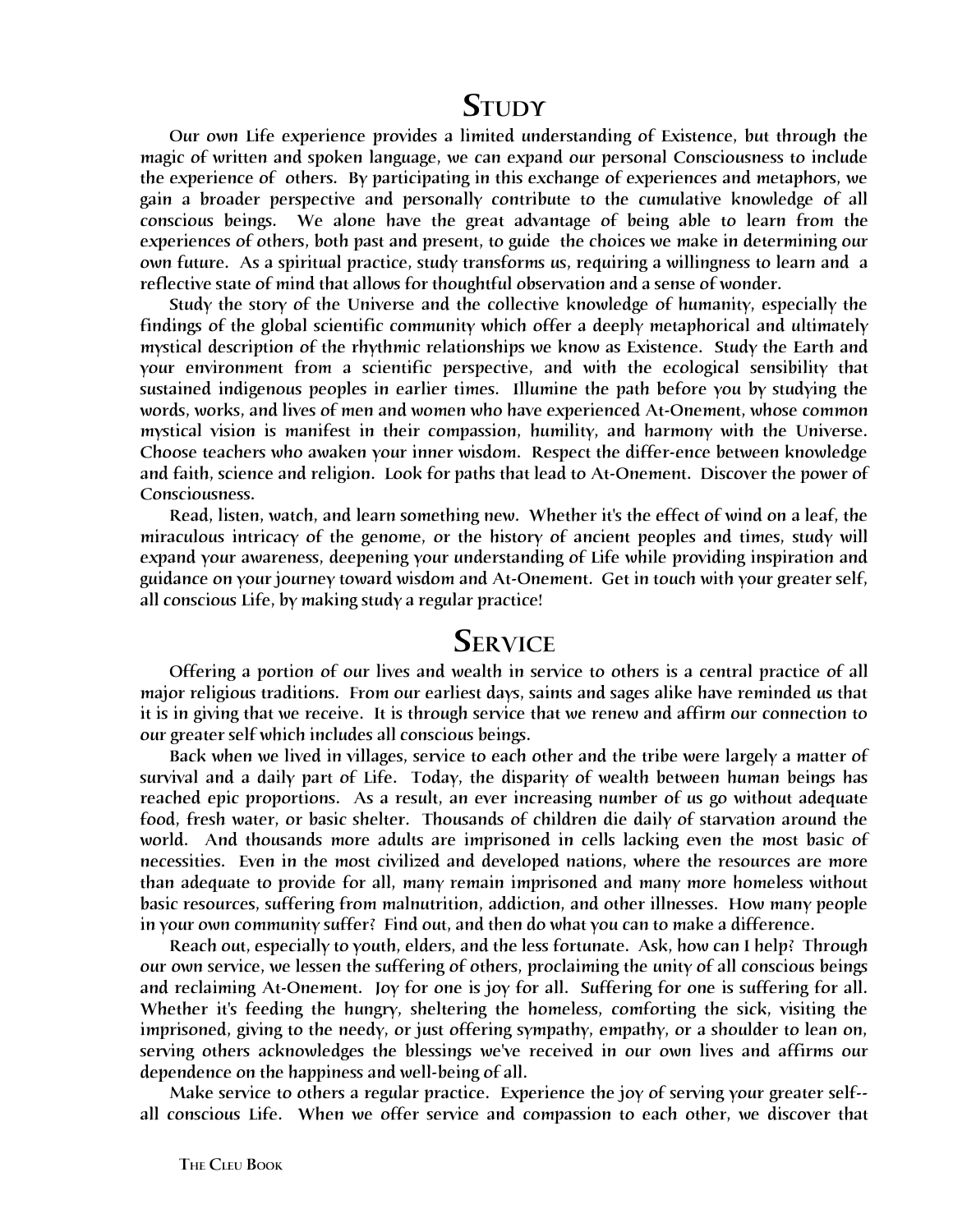#### **STUDY**

Our own Life experience provides a limited understanding of Existence, but through the magic of written and spoken language, we can expand our personal Consciousness to include the experience of others. By participating in this exchange of experiences and metaphors, we gain a broader perspective and personally contribute to the cumulative knowledge of all conscious beings. We alone have the great advantage of being able to learn from the experiences of others, both past and present, to guide the choices we make in determining our own future. As a spiritual practice, study transforms us, requiring a willingness to learn and a reflective state of mind that allows for thoughtful observation and a sense of wonder.

Study the story of the Universe and the collective knowledge of humanity, especially the findings of the global scientific community which offer a deeply metaphorical and ultimately mystical description of the rhythmic relationships we know as Existence. Study the Earth and your environment from a scientific perspective, and with the ecological sensibility that sustained indigenous peoples in earlier times. Illumine the path before you by studying the words, works, and lives of men and women who have experienced At-Onement, whose common mystical vision is manifest in their compassion, humility, and harmony with the Universe. Choose teachers who awaken your inner wisdom. Respect the differ-ence between knowledge and faith, science and religion. Look for paths that lead to At-Onement. Discover the power of Consciousness.

Read, listen, watch, and learn something new. Whether it's the effect of wind on a leaf, the miraculous intricacy of the genome, or the history of ancient peoples and times, study will expand your awareness, deepening your understanding of Life while providing inspiration and guidance on your journey toward wisdom and At-Onement. Get in touch with your greater self, all conscious Life, by making study a regular practice!

#### **SERVICE**

Offering a portion of our lives and wealth in service to others is a central practice of all major religious traditions. From our earliest days, saints and sages alike have reminded us that it is in giving that we receive. It is through service that we renew and affirm our connection to our greater self which includes all conscious beings.

Back when we lived in villages, service to each other and the tribe were largely a matter of survival and a daily part of Life. Today, the disparity of wealth between human beings has reached epic proportions. As a result, an ever increasing number of us go without adequate food, fresh water, or basic shelter. Thousands of children die daily of starvation around the world. And thousands more adults are imprisoned in cells lacking even the most basic of necessities. Even in the most civilized and developed nations, where the resources are more than adequate to provide for all, many remain imprisoned and many more homeless without basic resources, suffering from malnutrition, addiction, and other illnesses. How many people in your own community suffer? Find out, and then do what you can to make a difference.

Reach out, especially to youth, elders, and the less fortunate. Ask, how can I help? Through our own service, we lessen the suffering of others, proclaiming the unity of all conscious beings and reclaiming At-Onement. Joy for one is joy for all. Suffering for one is suffering for all. Whether it's feeding the hungry, sheltering the homeless, comforting the sick, visiting the imprisoned, giving to the needy, or just offering sympathy, empathy, or a shoulder to lean on, serving others acknowledges the blessings we've received in our own lives and affirms our dependence on the happiness and well-being of all.

Make service to others a regular practice. Experience the joy of serving your greater self- all conscious Life. When we offer service and compassion to each other, we discover that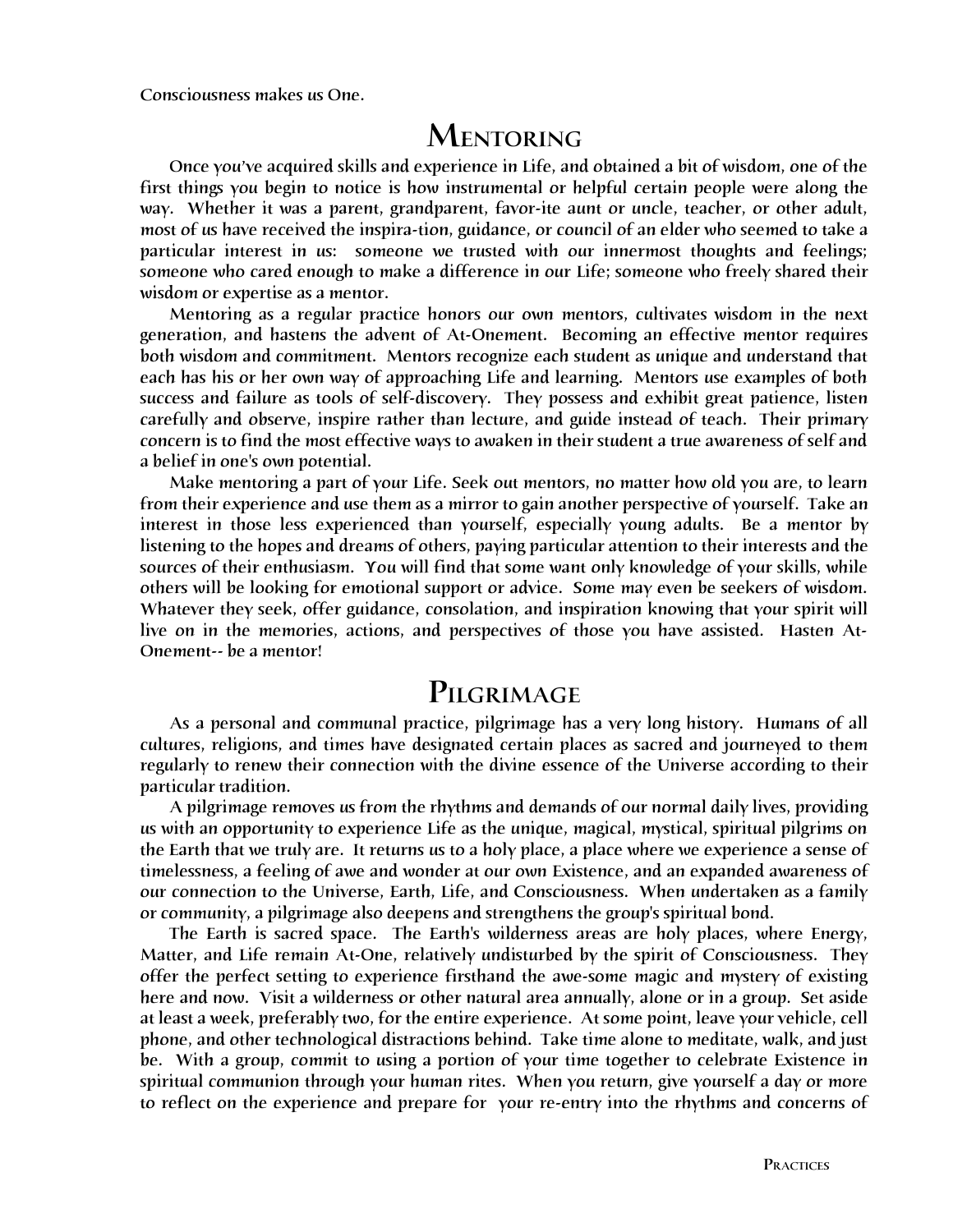Consciousness makes us One.

#### **MENTORING**

Once you've acquired skills and experience in Life, and obtained a bit of wisdom, one of the first things you begin to notice is how instrumental or helpful certain people were along the way. Whether it was a parent, grandparent, favor-ite aunt or uncle, teacher, or other adult, most of us have received the inspira-tion, guidance, or council of an elder who seemed to take a particular interest in us: someone we trusted with our innermost thoughts and feelings; someone who cared enough to make a difference in our Life; someone who freely shared their wisdom or expertise as a mentor.

Mentoring as a regular practice honors our own mentors, cultivates wisdom in the next generation, and hastens the advent of At-Onement. Becoming an effective mentor requires both wisdom and commitment. Mentors recognize each student as unique and understand that each has his or her own way of approaching Life and learning. Mentors use examples of both success and failure as tools of self-discovery. They possess and exhibit great patience, listen carefully and observe, inspire rather than lecture, and guide instead of teach. Their primary concern is to find the most effective ways to awaken in their student a true awareness of self and a belief in one's own potential.

Make mentoring a part of your Life. Seek out mentors, no matter how old you are, to learn from their experience and use them as a mirror to gain another perspective of yourself. Take an interest in those less experienced than yourself, especially young adults. Be a mentor by listening to the hopes and dreams of others, paying particular attention to their interests and the sources of their enthusiasm. You will find that some want only knowledge of your skills, while others will be looking for emotional support or advice. Some may even be seekers of wisdom. Whatever they seek, offer guidance, consolation, and inspiration knowing that your spirit will live on in the memories, actions, and perspectives of those you have assisted. Hasten At-Onement-- be a mentor!

#### PILGRIMAGE

As a personal and communal practice, pilgrimage has a very long history. Humans of all cultures, religions, and times have designated certain places as sacred and journeyed to them regularly to renew their connection with the divine essence of the Universe according to their particular tradition.

A pilgrimage removes us from the rhythms and demands of our normal daily lives, providing us with an opportunity to experience Life as the unique, magical, mystical, spiritual pilgrims on the Earth that we truly are. It returns us to a holy place, a place where we experience a sense of timelessness, a feeling of awe and wonder at our own Existence, and an expanded awareness of our connection to the Universe, Earth, Life, and Consciousness. When undertaken as a family or community, a pilgrimage also deepens and strengthens the group's spiritual bond.

The Earth is sacred space. The Earth's wilderness areas are holy places, where Energy, Matter, and Life remain At-One, relatively undisturbed by the spirit of Consciousness. They offer the perfect setting to experience firsthand the awe-some magic and mystery of existing here and now. Visit a wilderness or other natural area annually, alone or in a group. Set aside at least a week, preferably two, for the entire experience. At some point, leave your vehicle, cell phone, and other technological distractions behind. Take time alone to meditate, walk, and just be. With a group, commit to using a portion of your time together to celebrate Existence in spiritual communion through your human rites. When you return, give yourself a day or more to reflect on the experience and prepare for your re-entry into the rhythms and concerns of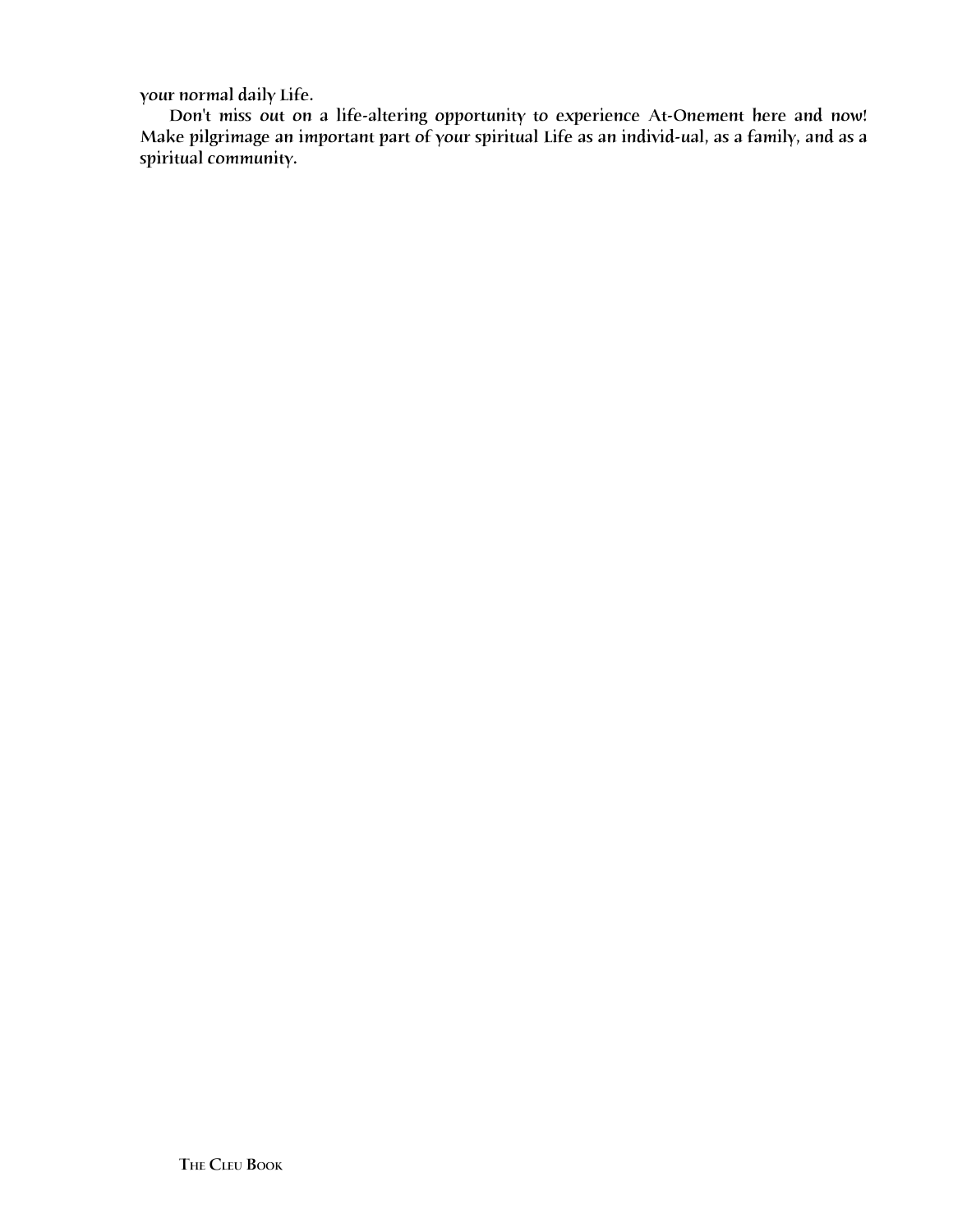your normal daily Life.

Don't miss out on a life-altering opportunity to experience At-Onement here and now! Make pilgrimage an important part of your spiritual Life as an individ-ual, as a family, and as a spiritual community.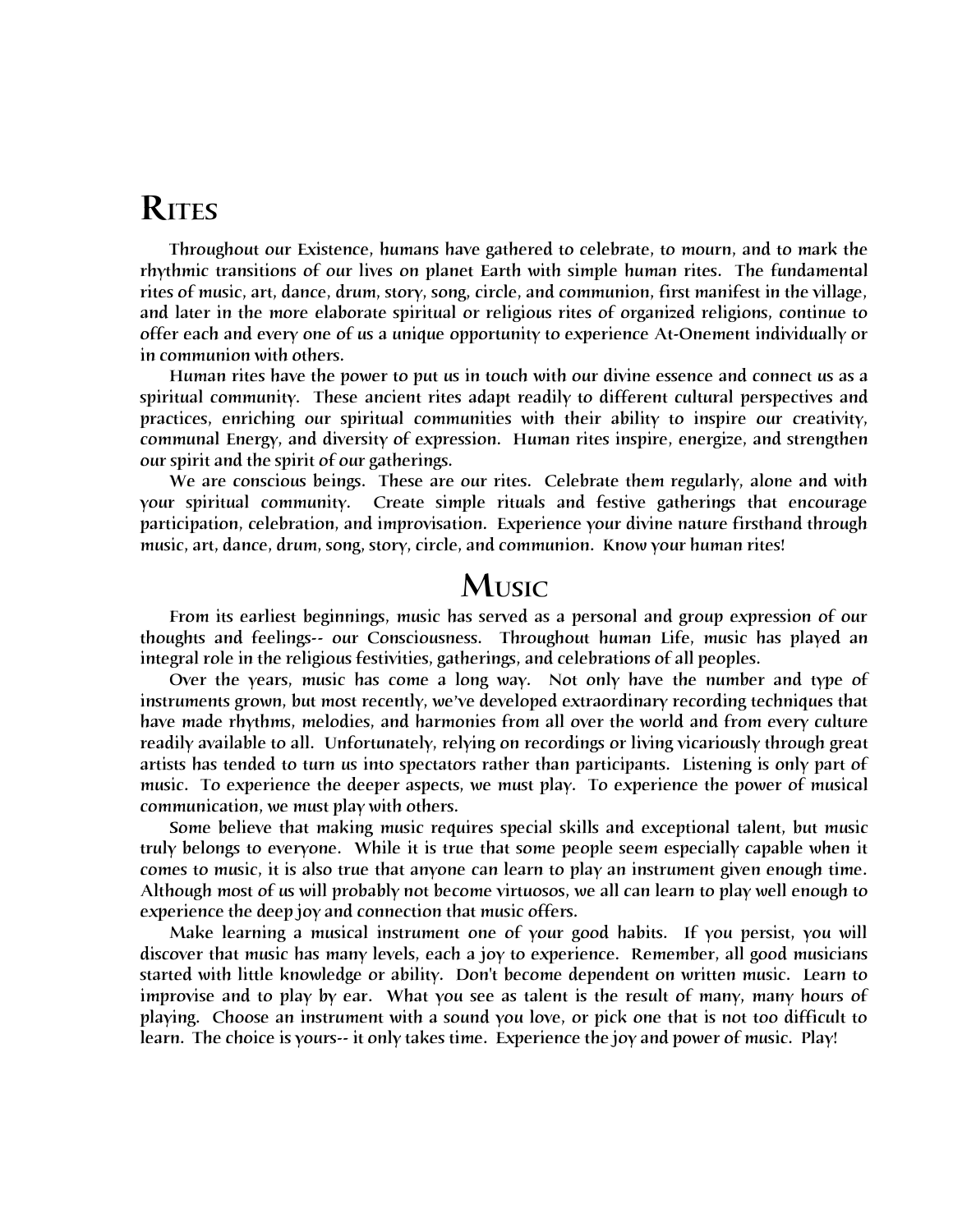# **RITES**

Throughout our Existence, humans have gathered to celebrate, to mourn, and to mark the rhythmic transitions of our lives on planet Earth with simple human rites. The fundamental rites of music, art, dance, drum, story, song, circle, and communion, first manifest in the village, and later in the more elaborate spiritual or religious rites of organized religions, continue to offer each and every one of us a unique opportunity to experience At-Onement individually or in communion with others.

Human rites have the power to put us in touch with our divine essence and connect us as a spiritual community. These ancient rites adapt readily to different cultural perspectives and practices, enriching our spiritual communities with their ability to inspire our creativity, communal Energy, and diversity of expression. Human rites inspire, energize, and strengthen our spirit and the spirit of our gatherings.

We are conscious beings. These are our rites. Celebrate them regularly, alone and with your spiritual community. Create simple rituals and festive gatherings that encourage participation, celebration, and improvisation. Experience your divine nature firsthand through music, art, dance, drum, song, story, circle, and communion. Know your human rites!

#### **MUSIC**

From its earliest beginnings, music has served as a personal and group expression of our thoughts and feelings-- our Consciousness. Throughout human Life, music has played an integral role in the religious festivities, gatherings, and celebrations of all peoples.

Over the years, music has come a long way. Not only have the number and type of instruments grown, but most recently, we've developed extraordinary recording techniques that have made rhythms, melodies, and harmonies from all over the world and from every culture readily available to all. Unfortunately, relying on recordings or living vicariously through great artists has tended to turn us into spectators rather than participants. Listening is only part of music. To experience the deeper aspects, we must play. To experience the power of musical communication, we must play with others.

Some believe that making music requires special skills and exceptional talent, but music truly belongs to everyone. While it is true that some people seem especially capable when it comes to music, it is also true that anyone can learn to play an instrument given enough time. Although most of us will probably not become virtuosos, we all can learn to play well enough to experience the deep joy and connection that music offers.

Make learning a musical instrument one of your good habits. If you persist, you will discover that music has many levels, each a joy to experience. Remember, all good musicians started with little knowledge or ability. Don't become dependent on written music. Learn to improvise and to play by ear. What you see as talent is the result of many, many hours of playing. Choose an instrument with a sound you love, or pick one that is not too difficult to learn. The choice is yours-- it only takes time. Experience the joy and power of music. Play!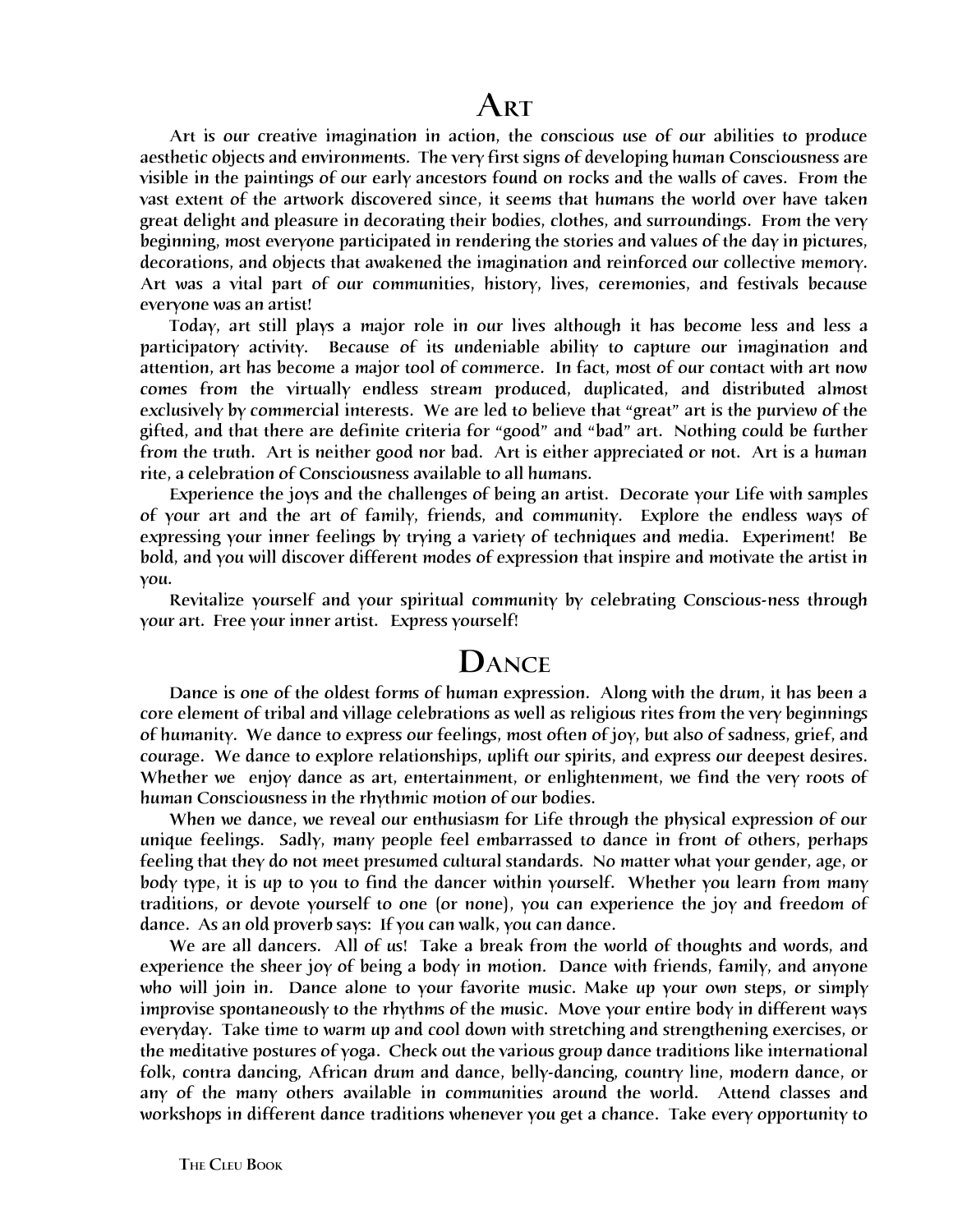#### **ART**

Art is our creative imagination in action, the conscious use of our abilities to produce aesthetic objects and environments. The very first signs of developing human Consciousness are visible in the paintings of our early ancestors found on rocks and the walls of caves. From the vast extent of the artwork discovered since, it seems that humans the world over have taken great delight and pleasure in decorating their bodies, clothes, and surroundings. From the very beginning, most everyone participated in rendering the stories and values of the day in pictures, decorations, and objects that awakened the imagination and reinforced our collective memory. Art was a vital part of our communities, history, lives, ceremonies, and festivals because everyone was an artist!

Today, art still plays a major role in our lives although it has become less and less a participatory activity. Because of its undeniable ability to capture our imagination and attention, art has become a major tool of commerce. In fact, most of our contact with art now comes from the virtually endless stream produced, duplicated, and distributed almost exclusively by commercial interests. We are led to believe that "great" art is the purview of the gifted, and that there are definite criteria for "good" and "bad" art. Nothing could be further from the truth. Art is neither good nor bad. Art is either appreciated or not. Art is a human rite, a celebration of Consciousness available to all humans.

Experience the joys and the challenges of being an artist. Decorate your Life with samples of your art and the art of family, friends, and community. Explore the endless ways of expressing your inner feelings by trying a variety of techniques and media. Experiment! Be bold, and you will discover different modes of expression that inspire and motivate the artist in you.

Revitalize yourself and your spiritual community by celebrating Conscious-ness through your art. Free your inner artist. Express yourself!

#### **DANCE**

Dance is one of the oldest forms of human expression. Along with the drum, it has been a core element of tribal and village celebrations as well as religious rites from the very beginnings of humanity. We dance to express our feelings, most often of joy, but also of sadness, grief, and courage. We dance to explore relationships, uplift our spirits, and express our deepest desires. Whether we enjoy dance as art, entertainment, or enlightenment, we find the very roots of human Consciousness in the rhythmic motion of our bodies.

When we dance, we reveal our enthusiasm for Life through the physical expression of our unique feelings. Sadly, many people feel embarrassed to dance in front of others, perhaps feeling that they do not meet presumed cultural standards. No matter what your gender, age, or body type, it is up to you to find the dancer within yourself. Whether you learn from many traditions, or devote yourself to one (or none), you can experience the joy and freedom of dance. As an old proverb says: If you can walk, you can dance.

We are all dancers. All of us! Take a break from the world of thoughts and words, and experience the sheer joy of being a body in motion. Dance with friends, family, and anyone who will join in. Dance alone to your favorite music. Make up your own steps, or simply improvise spontaneously to the rhythms of the music. Move your entire body in different ways everyday. Take time to warm up and cool down with stretching and strengthening exercises, or the meditative postures of yoga. Check out the various group dance traditions like international folk, contra dancing, African drum and dance, belly-dancing, country line, modern dance, or any of the many others available in communities around the world. Attend classes and workshops in different dance traditions whenever you get a chance. Take every opportunity to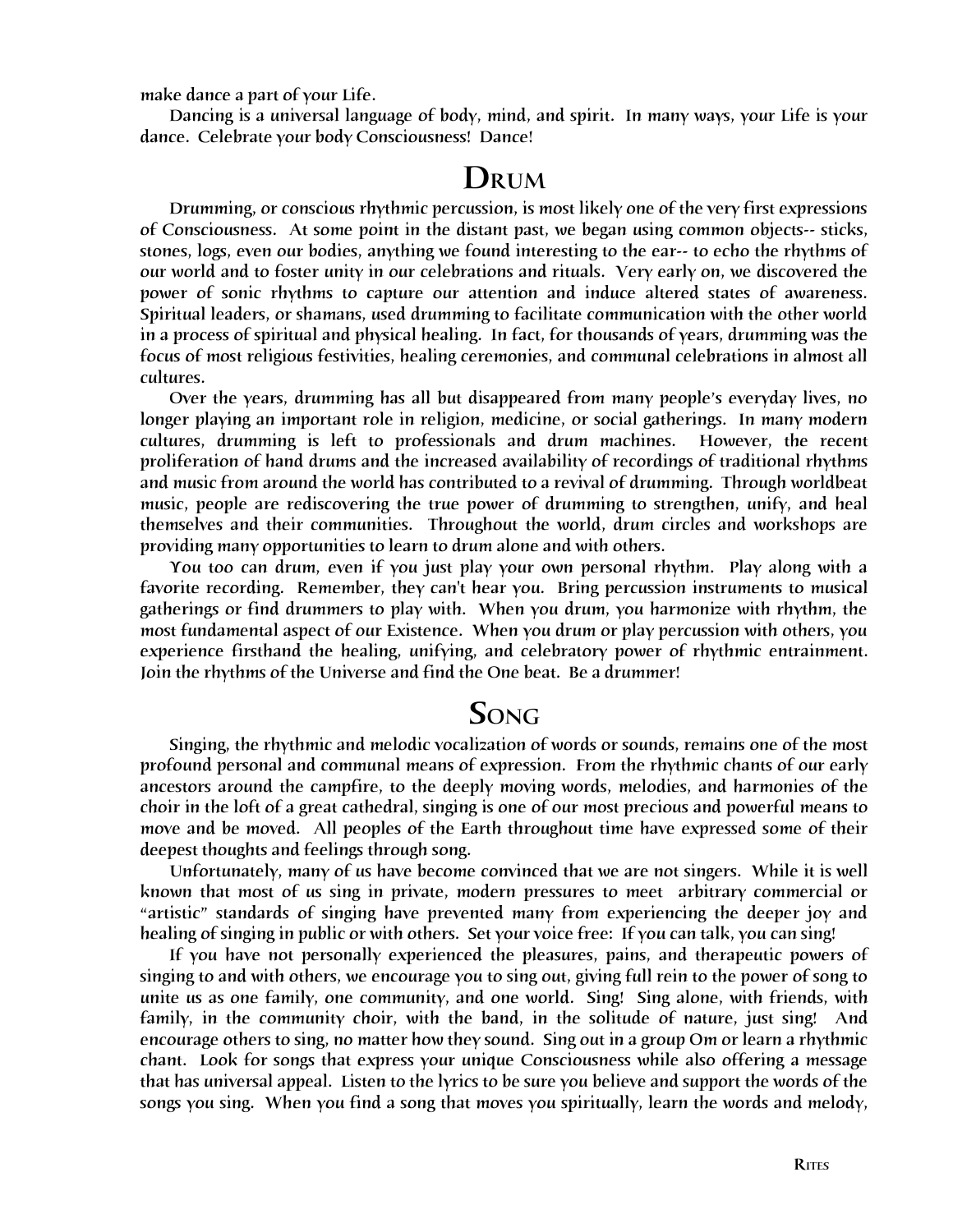make dance a part of your Life.

Dancing is a universal language of body, mind, and spirit. In many ways, your Life is your dance. Celebrate your body Consciousness! Dance!

#### DRUM

Drumming, or conscious rhythmic percussion, is most likely one of the very first expressions of Consciousness. At some point in the distant past, we began using common objects-- sticks, stones, logs, even our bodies, anything we found interesting to the ear-- to echo the rhythms of our world and to foster unity in our celebrations and rituals. Very early on, we discovered the power of sonic rhythms to capture our attention and induce altered states of awareness. Spiritual leaders, or shamans, used drumming to facilitate communication with the other world in a process of spiritual and physical healing. In fact, for thousands of years, drumming was the focus of most religious festivities, healing ceremonies, and communal celebrations in almost all cultures.

Over the years, drumming has all but disappeared from many people's everyday lives, no longer playing an important role in religion, medicine, or social gatherings. In many modern cultures, drumming is left to professionals and drum machines. However, the recent proliferation of hand drums and the increased availability of recordings of traditional rhythms and music from around the world has contributed to a revival of drumming. Through worldbeat music, people are rediscovering the true power of drumming to strengthen, unify, and heal themselves and their communities. Throughout the world, drum circles and workshops are providing many opportunities to learn to drum alone and with others.

You too can drum, even if you just play your own personal rhythm. Play along with a favorite recording. Remember, they can't hear you. Bring percussion instruments to musical gatherings or find drummers to play with. When you drum, you harmonize with rhythm, the most fundamental aspect of our Existence. When you drum or play percussion with others, you experience firsthand the healing, unifying, and celebratory power of rhythmic entrainment. Join the rhythms of the Universe and find the One beat. Be a drummer!

#### **SONG**

Singing, the rhythmic and melodic vocalization of words or sounds, remains one of the most profound personal and communal means of expression. From the rhythmic chants of our early ancestors around the campfire, to the deeply moving words, melodies, and harmonies of the choir in the loft of a great cathedral, singing is one of our most precious and powerful means to move and be moved. All peoples of the Earth throughout time have expressed some of their deepest thoughts and feelings through song.

Unfortunately, many of us have become convinced that we are not singers. While it is well known that most of us sing in private, modern pressures to meet arbitrary commercial or "artistic" standards of singing have prevented many from experiencing the deeper joy and healing of singing in public or with others. Set your voice free: If you can talk, you can sing!

If you have not personally experienced the pleasures, pains, and therapeutic powers of singing to and with others, we encourage you to sing out, giving full rein to the power of song to unite us as one family, one community, and one world. Sing! Sing alone, with friends, with family, in the community choir, with the band, in the solitude of nature, just sing! And encourage others to sing, no matter how they sound. Sing out in a group Om or learn a rhythmic chant. Look for songs that express your unique Consciousness while also offering a message that has universal appeal. Listen to the lyrics to be sure you believe and support the words of the songs you sing. When you find a song that moves you spiritually, learn the words and melody,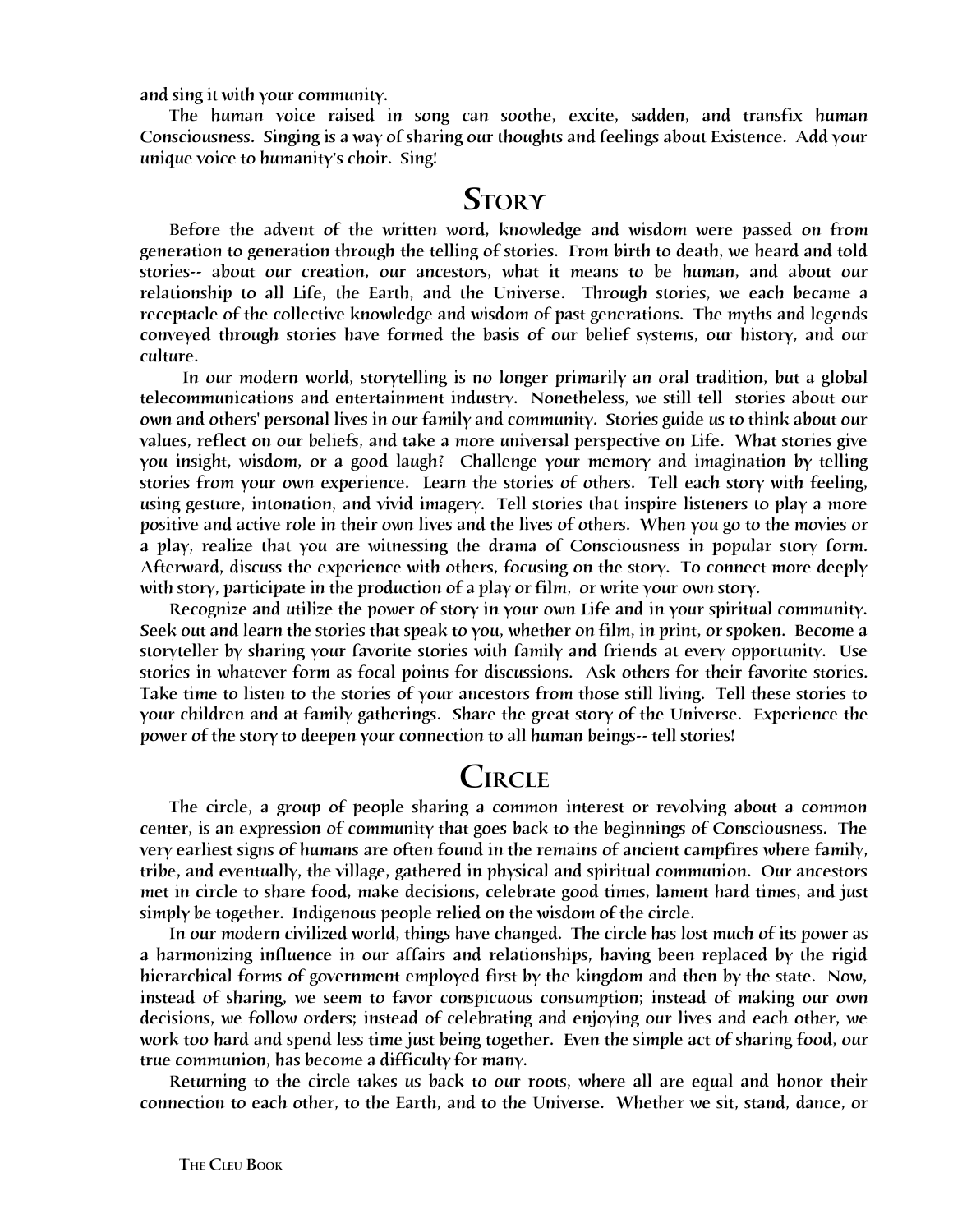and sing it with your community.

The human voice raised in song can soothe, excite, sadden, and transfix human Consciousness. Singing is a way of sharing our thoughts and feelings about Existence. Add your unique voice to humanity's choir. Sing!

#### **STORY**

Before the advent of the written word, knowledge and wisdom were passed on from generation to generation through the telling of stories. From birth to death, we heard and told stories-- about our creation, our ancestors, what it means to be human, and about our relationship to all Life, the Earth, and the Universe. Through stories, we each became a receptacle of the collective knowledge and wisdom of past generations. The myths and legends conveyed through stories have formed the basis of our belief systems, our history, and our culture.

In our modern world, storytelling is no longer primarily an oral tradition, but a global telecommunications and entertainment industry. Nonetheless, we still tell stories about our own and others' personal lives in our family and community. Stories guide us to think about our values, reflect on our beliefs, and take a more universal perspective on Life. What stories give you insight, wisdom, or a good laugh? Challenge your memory and imagination by telling stories from your own experience. Learn the stories of others. Tell each story with feeling, using gesture, intonation, and vivid imagery. Tell stories that inspire listeners to play a more positive and active role in their own lives and the lives of others. When you go to the movies or a play, realize that you are witnessing the drama of Consciousness in popular story form. Afterward, discuss the experience with others, focusing on the story. To connect more deeply with story, participate in the production of a play or film, or write your own story.

Recognize and utilize the power of story in your own Life and in your spiritual community. Seek out and learn the stories that speak to you, whether on film, in print, or spoken. Become a storyteller by sharing your favorite stories with family and friends at every opportunity. Use stories in whatever form as focal points for discussions. Ask others for their favorite stories. Take time to listen to the stories of your ancestors from those still living. Tell these stories to your children and at family gatherings. Share the great story of the Universe. Experience the power of the story to deepen your connection to all human beings-- tell stories!

#### **CIRCLE**

The circle, a group of people sharing a common interest or revolving about a common center, is an expression of community that goes back to the beginnings of Consciousness. The very earliest signs of humans are often found in the remains of ancient campfires where family, tribe, and eventually, the village, gathered in physical and spiritual communion. Our ancestors met in circle to share food, make decisions, celebrate good times, lament hard times, and just simply be together. Indigenous people relied on the wisdom of the circle.

In our modern civilized world, things have changed. The circle has lost much of its power as a harmonizing influence in our affairs and relationships, having been replaced by the rigid hierarchical forms of government employed first by the kingdom and then by the state. Now, instead of sharing, we seem to favor conspicuous consumption; instead of making our own decisions, we follow orders; instead of celebrating and enjoying our lives and each other, we work too hard and spend less time just being together. Even the simple act of sharing food, our true communion, has become a difficulty for many.

Returning to the circle takes us back to our roots, where all are equal and honor their connection to each other, to the Earth, and to the Universe. Whether we sit, stand, dance, or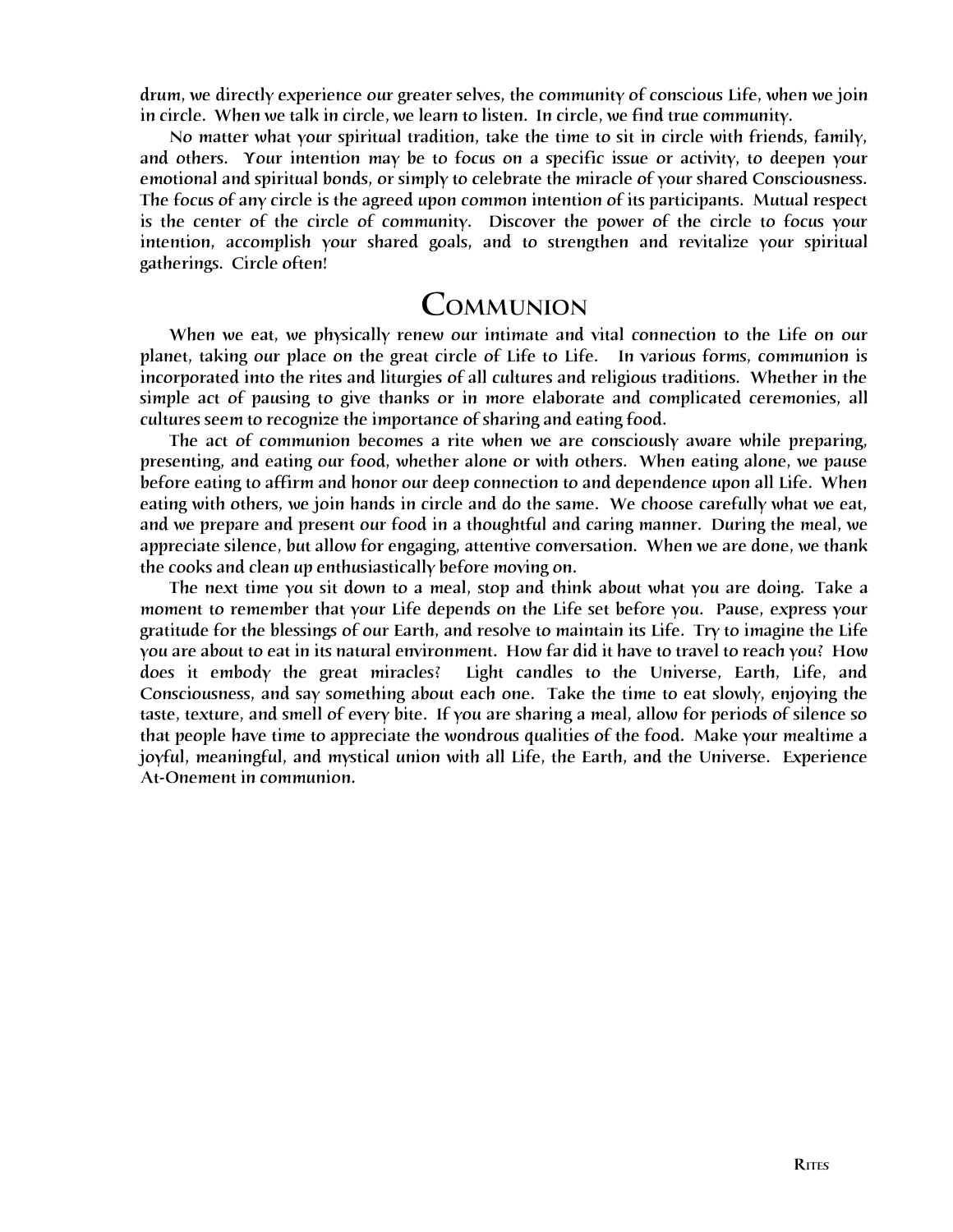drum, we directly experience our greater selves, the community of conscious Life, when we join in circle. When we talk in circle, we learn to listen. In circle, we find true community.

No matter what your spiritual tradition, take the time to sit in circle with friends, family, and others. Your intention may be to focus on a specific issue or activity, to deepen your emotional and spiritual bonds, or simply to celebrate the miracle of your shared Consciousness. The focus of any circle is the agreed upon common intention of its participants. Mutual respect is the center of the circle of community. Discover the power of the circle to focus your intention, accomplish your shared goals, and to strengthen and revitalize your spiritual gatherings. Circle often!

#### **COMMUNION**

When we eat, we physically renew our intimate and vital connection to the Life on our planet, taking our place on the great circle of Life to Life. In various forms, communion is incorporated into the rites and liturgies of all cultures and religious traditions. Whether in the simple act of pausing to give thanks or in more elaborate and complicated ceremonies, all cultures seem to recognize the importance of sharing and eating food.

The act of communion becomes a rite when we are consciously aware while preparing, presenting, and eating our food, whether alone or with others. When eating alone, we pause before eating to affirm and honor our deep connection to and dependence upon all Life. When eating with others, we join hands in circle and do the same. We choose carefully what we eat, and we prepare and present our food in a thoughtful and caring manner. During the meal, we appreciate silence, but allow for engaging, attentive conversation. When we are done, we thank the cooks and clean up enthusiastically before moving on.

The next time you sit down to a meal, stop and think about what you are doing. Take a moment to remember that your Life depends on the Life set before you. Pause, express your gratitude for the blessings of our Earth, and resolve to maintain its Life. Try to imagine the Life you are about to eat in its natural environment. How far did it have to travel to reach you? How does it embody the great miracles? Light candles to the Universe, Earth, Life, and Consciousness, and say something about each one. Take the time to eat slowly, enjoying the taste, texture, and smell of every bite. If you are sharing a meal, allow for periods of silence so that people have time to appreciate the wondrous qualities of the food. Make your mealtime a joyful, meaningful, and mystical union with all Life, the Earth, and the Universe. Experience At-Onement in communion.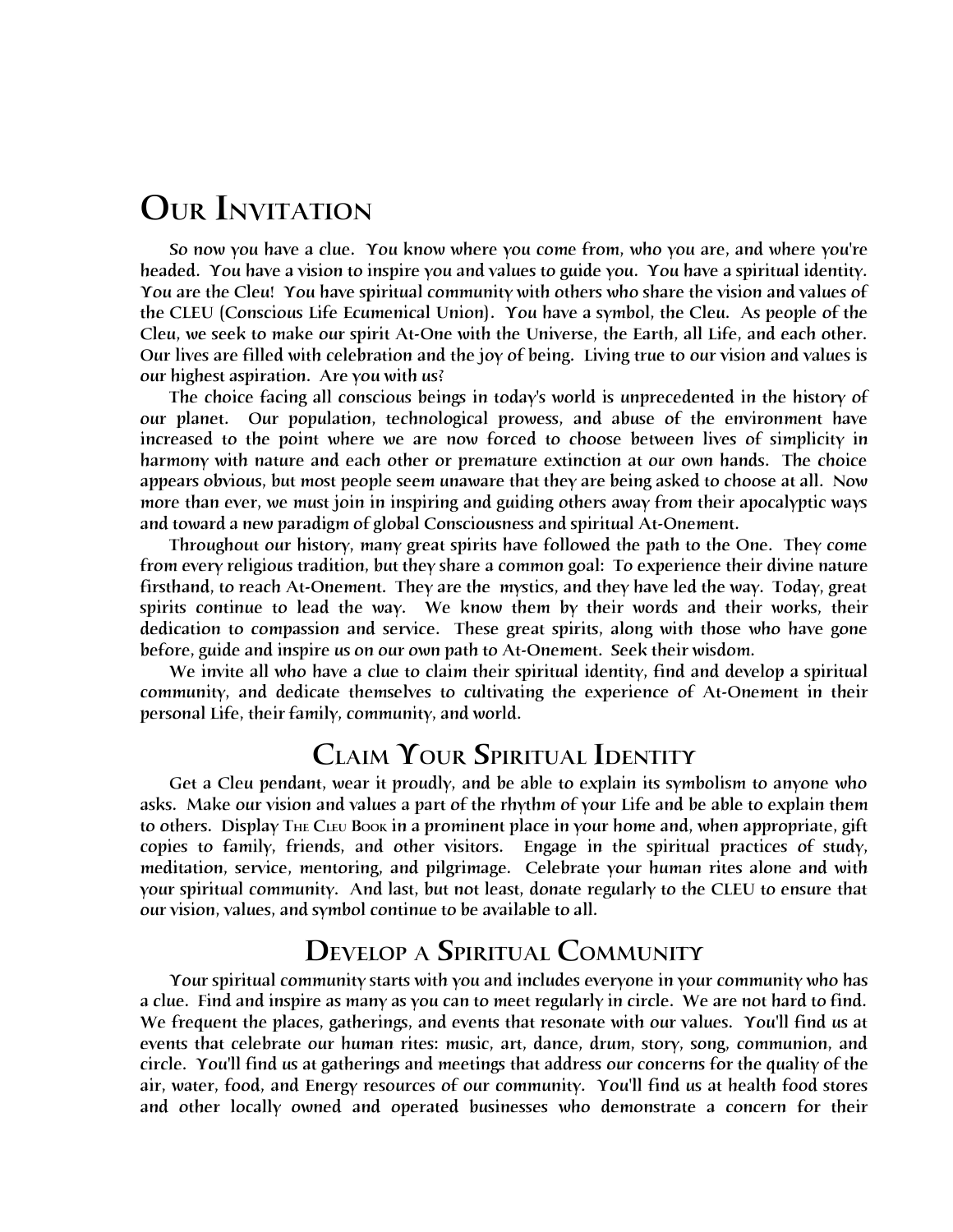# **OUR INVITATION**

So now you have a clue. You know where you come from, who you are, and where you're headed. You have a vision to inspire you and values to guide you. You have a spiritual identity. You are the Cleu! You have spiritual community with others who share the vision and values of the CLEU (Conscious Life Ecumenical Union). You have a symbol, the Cleu. As people of the Cleu, we seek to make our spirit At-One with the Universe, the Earth, all Life, and each other. Our lives are filled with celebration and the joy of being. Living true to our vision and values is our highest aspiration. Are you with us?

The choice facing all conscious beings in today's world is unprecedented in the history of our planet. Our population, technological prowess, and abuse of the environment have increased to the point where we are now forced to choose between lives of simplicity in harmony with nature and each other or premature extinction at our own hands. The choice appears obvious, but most people seem unaware that they are being asked to choose at all. Now more than ever, we must join in inspiring and guiding others away from their apocalyptic ways and toward a new paradigm of global Consciousness and spiritual At-Onement.

Throughout our history, many great spirits have followed the path to the One. They come from every religious tradition, but they share a common goal: To experience their divine nature firsthand, to reach At-Onement. They are the mystics, and they have led the way. Today, great spirits continue to lead the way. We know them by their words and their works, their dedication to compassion and service. These great spirits, along with those who have gone before, guide and inspire us on our own path to At-Onement. Seek their wisdom.

We invite all who have a clue to claim their spiritual identity, find and develop a spiritual community, and dedicate themselves to cultivating the experience of At-Onement in their personal Life, their family, community, and world.

#### CLAIM YOUR SPIRITUAL IDENTITY

Get a Cleu pendant, wear it proudly, and be able to explain its symbolism to anyone who asks. Make our vision and values a part of the rhythm of your Life and be able to explain them to others. Display THE CLEU BOOK in a prominent place in your home and, when appropriate, gift copies to family, friends, and other visitors. Engage in the spiritual practices of study, meditation, service, mentoring, and pilgrimage. Celebrate your human rites alone and with your spiritual community. And last, but not least, donate regularly to the CLEU to ensure that our vision, values, and symbol continue to be available to all.

#### DEVELOP <sup>A</sup> SPIRITUAL COMMUNITY

Your spiritual community starts with you and includes everyone in your community who has a clue. Find and inspire as many as you can to meet regularly in circle. We are not hard to find. We frequent the places, gatherings, and events that resonate with our values. You'll find us at events that celebrate our human rites: music, art, dance, drum, story, song, communion, and circle. You'll find us at gatherings and meetings that address our concerns for the quality of the air, water, food, and Energy resources of our community. You'll find us at health food stores and other locally owned and operated businesses who demonstrate a concern for their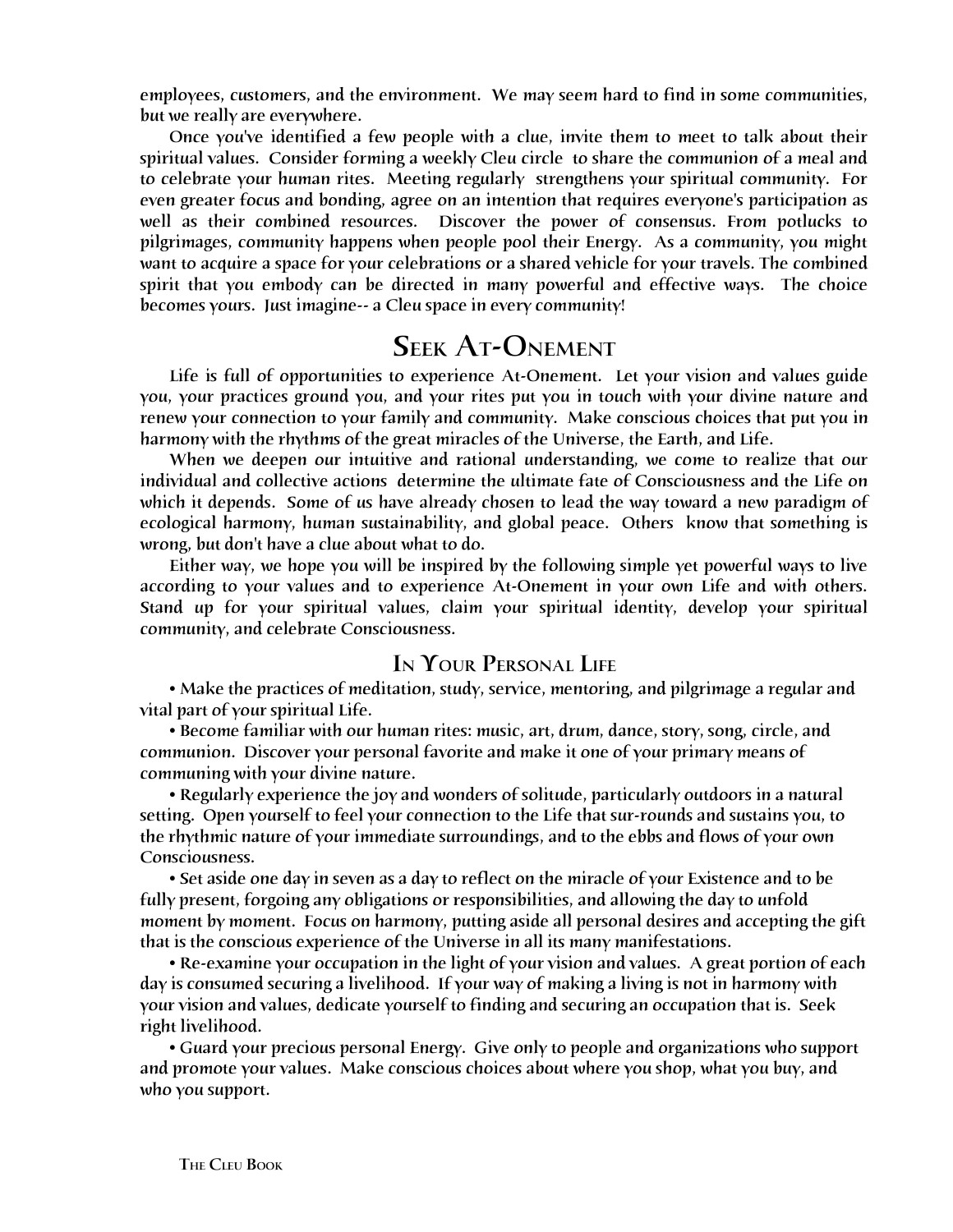employees, customers, and the environment. We may seem hard to find in some communities, but we really are everywhere.

Once you've identified a few people with a clue, invite them to meet to talk about their spiritual values. Consider forming a weekly Cleu circle to share the communion of a meal and to celebrate your human rites. Meeting regularly strengthens your spiritual community. For even greater focus and bonding, agree on an intention that requires everyone's participation as well as their combined resources. Discover the power of consensus. From potlucks to pilgrimages, community happens when people pool their Energy. As a community, you might want to acquire a space for your celebrations or a shared vehicle for your travels. The combined spirit that you embody can be directed in many powerful and effective ways. The choice becomes yours. Just imagine-- a Cleu space in every community!

#### **SEEK AT-ONEMENT**

Life is full of opportunities to experience At-Onement. Let your vision and values guide you, your practices ground you, and your rites put you in touch with your divine nature and renew your connection to your family and community. Make conscious choices that put you in harmony with the rhythms of the great miracles of the Universe, the Earth, and Life.

When we deepen our intuitive and rational understanding, we come to realize that our individual and collective actions determine the ultimate fate of Consciousness and the Life on which it depends. Some of us have already chosen to lead the way toward a new paradigm of ecological harmony, human sustainability, and global peace. Others know that something is wrong, but don't have a clue about what to do.

Either way, we hope you will be inspired by the following simple yet powerful ways to live according to your values and to experience At-Onement in your own Life and with others. Stand up for your spiritual values, claim your spiritual identity, develop your spiritual community, and celebrate Consciousness.

#### I<sup>N</sup> YOUR PERSONAL LIFE

• Make the practices of meditation, study, service, mentoring, and pilgrimage a regular and vital part of your spiritual Life.

• Become familiar with our human rites: music, art, drum, dance, story, song, circle, and communion. Discover your personal favorite and make it one of your primary means of communing with your divine nature.

• Regularly experience the joy and wonders of solitude, particularly outdoors in a natural setting. Open yourself to feel your connection to the Life that sur-rounds and sustains you, to the rhythmic nature of your immediate surroundings, and to the ebbs and flows of your own Consciousness.

• Set aside one day in seven as a day to reflect on the miracle of your Existence and to be fully present, forgoing any obligations or responsibilities, and allowing the day to unfold moment by moment. Focus on harmony, putting aside all personal desires and accepting the gift that is the conscious experience of the Universe in all its many manifestations.

• Re-examine your occupation in the light of your vision and values. A great portion of each day is consumed securing a livelihood. If your way of making a living is not in harmony with your vision and values, dedicate yourself to finding and securing an occupation that is. Seek right livelihood.

• Guard your precious personal Energy. Give only to people and organizations who support and promote your values. Make conscious choices about where you shop, what you buy, and who you support.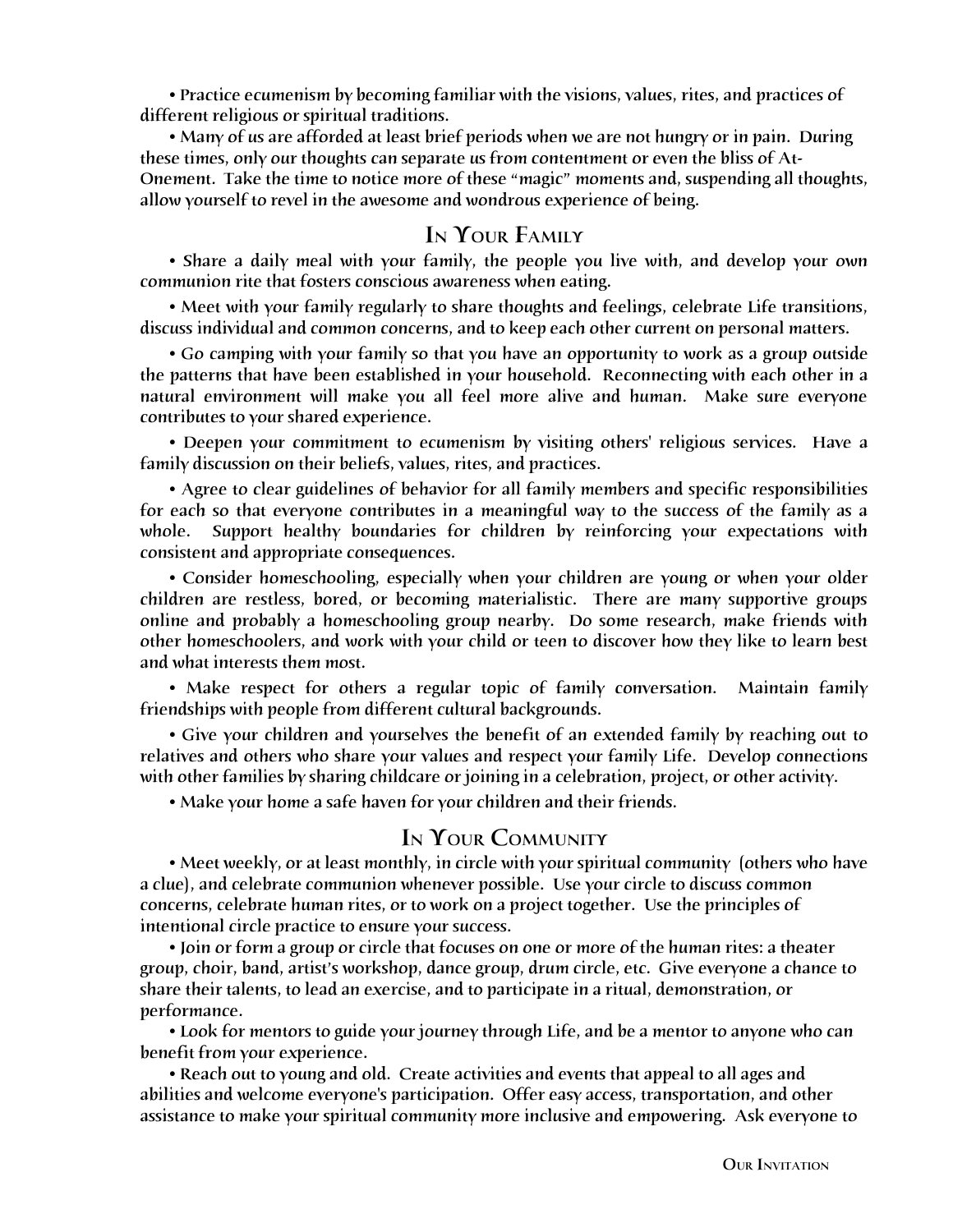• Practice ecumenism by becoming familiar with the visions, values, rites, and practices of different religious or spiritual traditions.

• Many of us are afforded at least brief periods when we are not hungry or in pain. During these times, only our thoughts can separate us from contentment or even the bliss of At-Onement. Take the time to notice more of these "magic" moments and, suspending all thoughts, allow yourself to revel in the awesome and wondrous experience of being.

#### I<sup>N</sup> YOUR FAMILY

• Share a daily meal with your family, the people you live with, and develop your own communion rite that fosters conscious awareness when eating.

• Meet with your family regularly to share thoughts and feelings, celebrate Life transitions, discuss individual and common concerns, and to keep each other current on personal matters.

• Go camping with your family so that you have an opportunity to work as a group outside the patterns that have been established in your household. Reconnecting with each other in a natural environment will make you all feel more alive and human. Make sure everyone contributes to your shared experience.

• Deepen your commitment to ecumenism by visiting others' religious services. Have a family discussion on their beliefs, values, rites, and practices.

• Agree to clear guidelines of behavior for all family members and specific responsibilities for each so that everyone contributes in a meaningful way to the success of the family as a whole. Support healthy boundaries for children by reinforcing your expectations with consistent and appropriate consequences.

• Consider homeschooling, especially when your children are young or when your older children are restless, bored, or becoming materialistic. There are many supportive groups online and probably a homeschooling group nearby. Do some research, make friends with other homeschoolers, and work with your child or teen to discover how they like to learn best and what interests them most.

• Make respect for others a regular topic of family conversation. Maintain family friendships with people from different cultural backgrounds.

• Give your children and yourselves the benefit of an extended family by reaching out to relatives and others who share your values and respect your family Life. Develop connections with other families by sharing childcare or joining in a celebration, project, or other activity.

• Make your home a safe haven for your children and their friends.

#### IN YOUR COMMUNITY

• Meet weekly, or at least monthly, in circle with your spiritual community (others who have a clue), and celebrate communion whenever possible. Use your circle to discuss common concerns, celebrate human rites, or to work on a project together. Use the principles of intentional circle practice to ensure your success.

• Join or form a group or circle that focuses on one or more of the human rites: a theater group, choir, band, artist's workshop, dance group, drum circle, etc. Give everyone a chance to share their talents, to lead an exercise, and to participate in a ritual, demonstration, or performance.

• Look for mentors to guide your journey through Life, and be a mentor to anyone who can benefit from your experience.

• Reach out to young and old. Create activities and events that appeal to all ages and abilities and welcome everyone's participation. Offer easy access, transportation, and other assistance to make your spiritual community more inclusive and empowering. Ask everyone to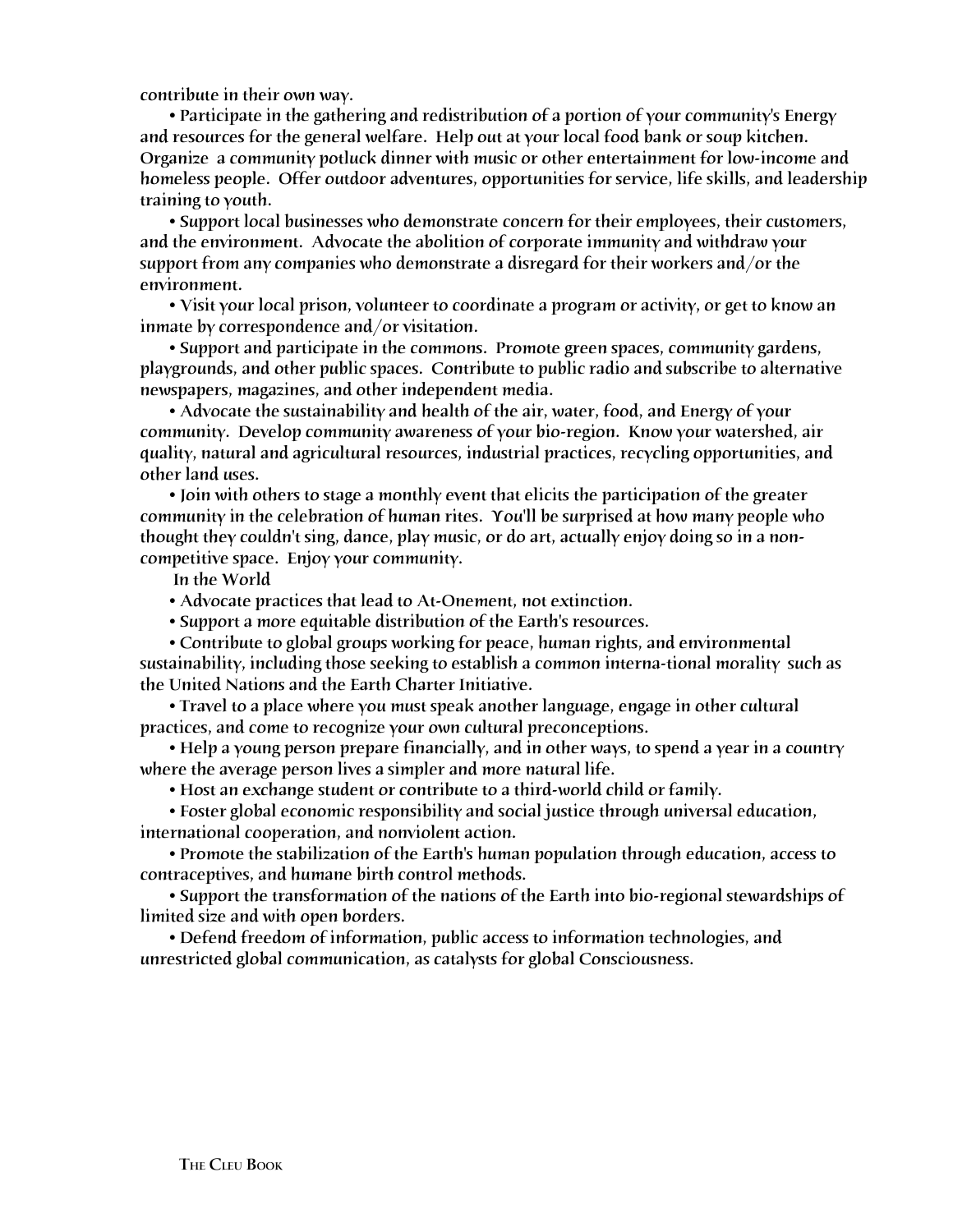contribute in their own way.

• Participate in the gathering and redistribution of a portion of your community's Energy and resources for the general welfare. Help out at your local food bank or soup kitchen. Organize a community potluck dinner with music or other entertainment for low-income and homeless people. Offer outdoor adventures, opportunities for service, life skills, and leadership training to youth.

• Support local businesses who demonstrate concern for their employees, their customers, and the environment. Advocate the abolition of corporate immunity and withdraw your support from any companies who demonstrate a disregard for their workers and/or the environment.

• Visit your local prison, volunteer to coordinate a program or activity, or get to know an inmate by correspondence and/or visitation.

• Support and participate in the commons. Promote green spaces, community gardens, playgrounds, and other public spaces. Contribute to public radio and subscribe to alternative newspapers, magazines, and other independent media.

• Advocate the sustainability and health of the air, water, food, and Energy of your community. Develop community awareness of your bio-region. Know your watershed, air quality, natural and agricultural resources, industrial practices, recycling opportunities, and other land uses.

• Join with others to stage a monthly event that elicits the participation of the greater community in the celebration of human rites. You'll be surprised at how many people who thought they couldn't sing, dance, play music, or do art, actually enjoy doing so in a noncompetitive space. Enjoy your community.

In the World

• Advocate practices that lead to At-Onement, not extinction.

• Support a more equitable distribution of the Earth's resources.

• Contribute to global groups working for peace, human rights, and environmental sustainability, including those seeking to establish a common interna-tional morality such as the United Nations and the Earth Charter Initiative.

• Travel to a place where you must speak another language, engage in other cultural practices, and come to recognize your own cultural preconceptions.

• Help a young person prepare financially, and in other ways, to spend a year in a country where the average person lives a simpler and more natural life.

• Host an exchange student or contribute to a third-world child or family.

• Foster global economic responsibility and social justice through universal education, international cooperation, and nonviolent action.

• Promote the stabilization of the Earth's human population through education, access to contraceptives, and humane birth control methods.

• Support the transformation of the nations of the Earth into bio-regional stewardships of limited size and with open borders.

• Defend freedom of information, public access to information technologies, and unrestricted global communication, as catalysts for global Consciousness.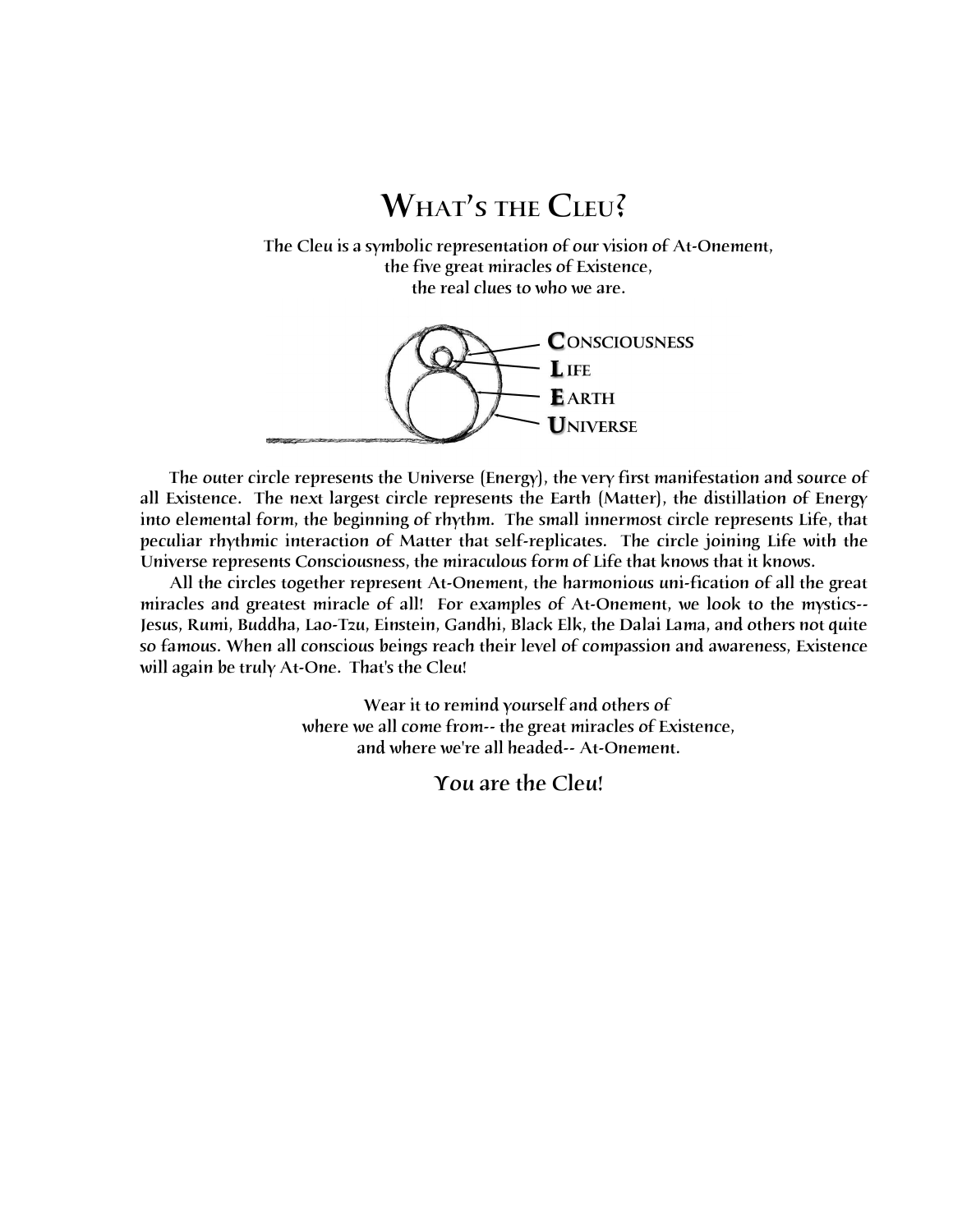### WHAT'S THE CLEU?

The Cleu is a symbolic representation of our vision of At-Onement, the five great miracles of Existence, the real clues to who we are.



The outer circle represents the Universe (Energy), the very first manifestation and source of all Existence. The next largest circle represents the Earth (Matter), the distillation of Energy into elemental form, the beginning of rhythm. The small innermost circle represents Life, that peculiar rhythmic interaction of Matter that self-replicates. The circle joining Life with the Universe represents Consciousness, the miraculous form of Life that knows that it knows.

All the circles together represent At-Onement, the harmonious uni-fication of all the great miracles and greatest miracle of all! For examples of At-Onement, we look to the mystics-- Jesus, Rumi, Buddha, Lao-Tzu, Einstein, Gandhi, Black Elk, the Dalai Lama, and others not quite so famous. When all conscious beings reach their level of compassion and awareness, Existence will again be truly At-One. That's the Cleu!

> Wear it to remind yourself and others of where we all come from-- the great miracles of Existence, and where we're all headed-- At-Onement.

> > You are the Cleu!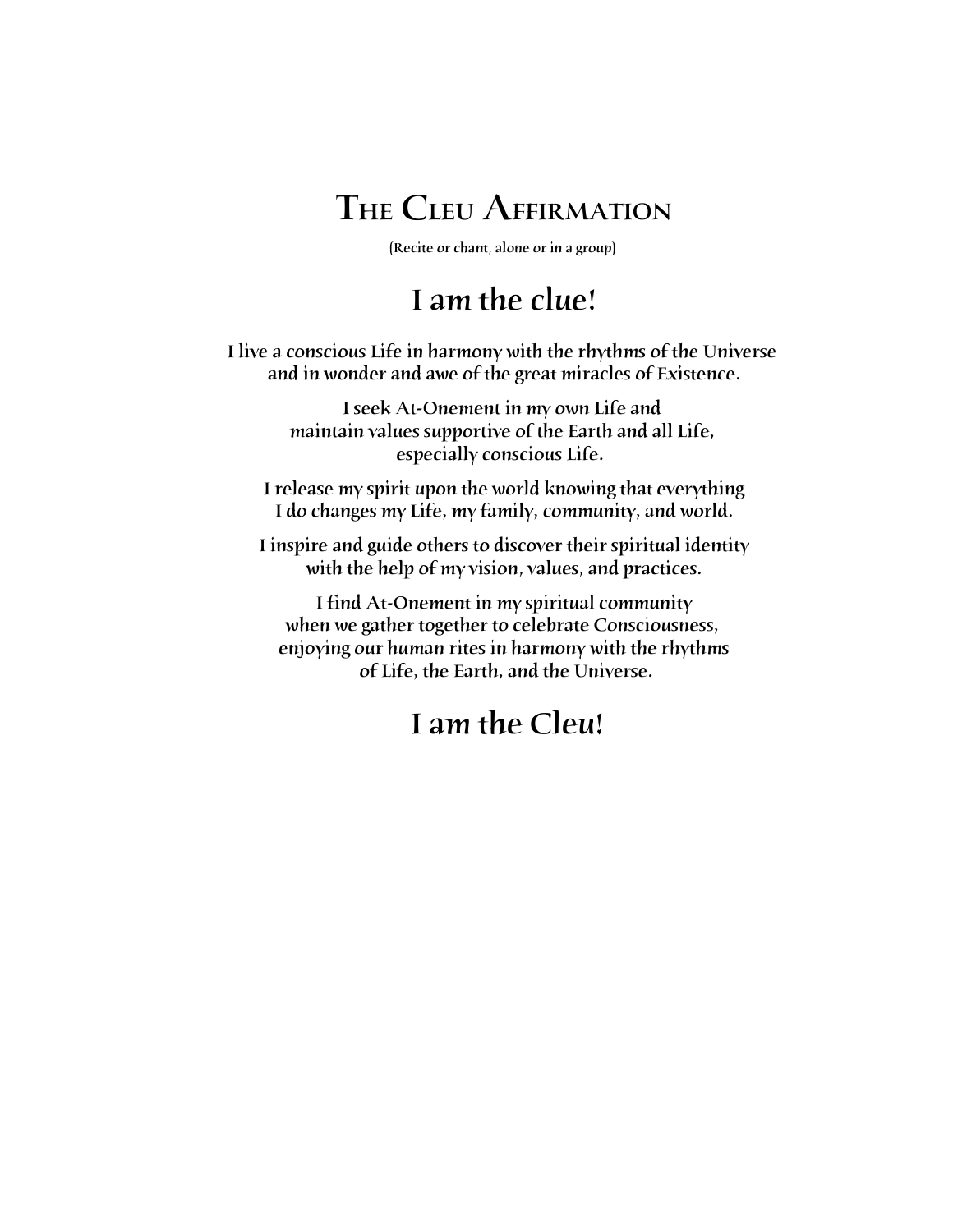# THE CLEU AFFIRMATION

(Recite or chant, alone or in a group)

# I am the clue!

I live a conscious Life in harmony with the rhythms of the Universe and in wonder and awe of the great miracles of Existence.

> I seek At-Onement in my own Life and maintain values supportive of the Earth and all Life, especially conscious Life.

I release my spirit upon the world knowing that everything I do changes my Life, my family, community, and world.

I inspire and guide others to discover their spiritual identity with the help of my vision, values, and practices.

I find At-Onement in my spiritual community when we gather together to celebrate Consciousness, enjoying our human rites in harmony with the rhythms of Life, the Earth, and the Universe.

# I am the Cleu!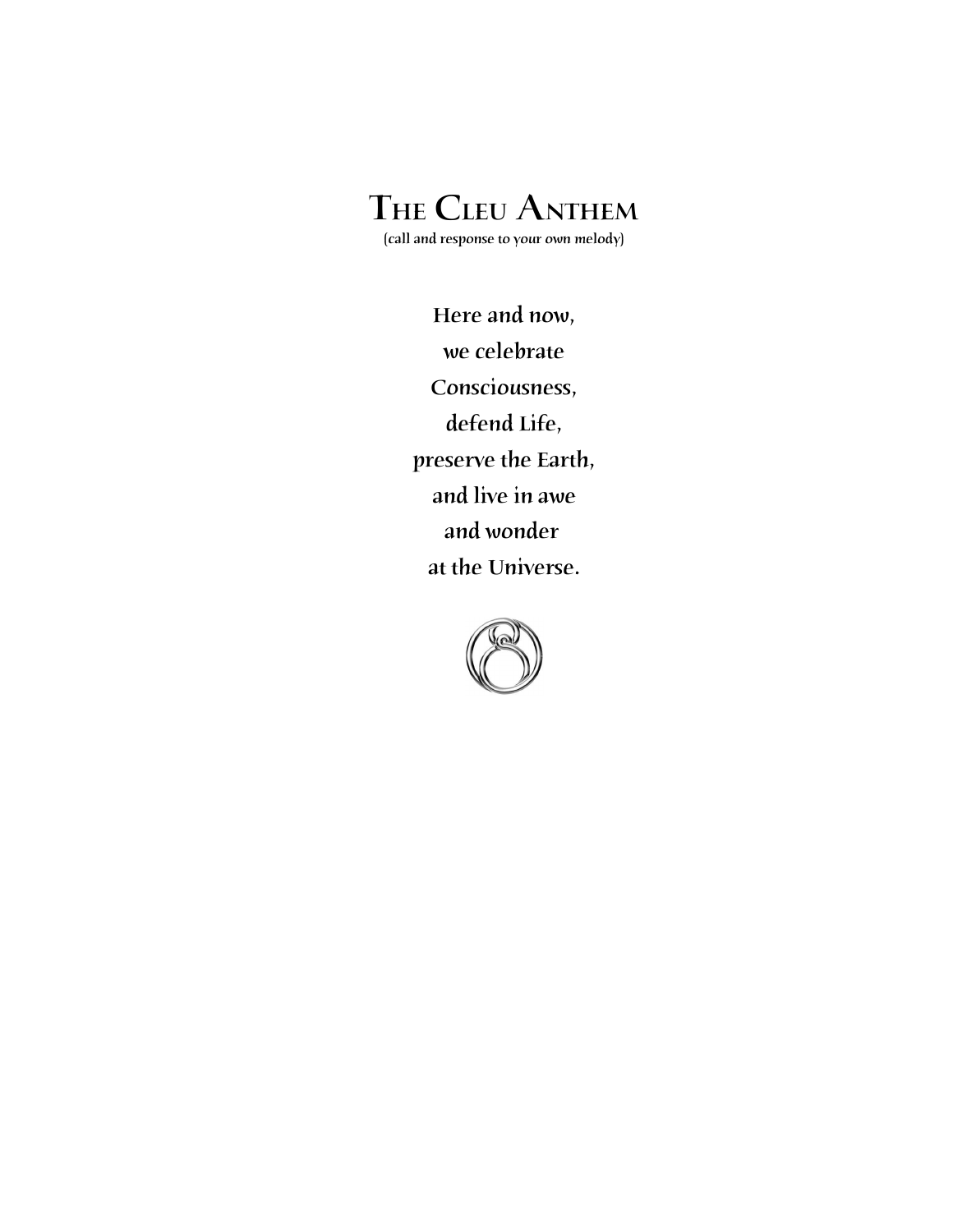

(call and response to your own melody)

Here and now, we celebrate Consciousness, defend Life, preserve the Earth, and live in awe and wonder at the Universe.